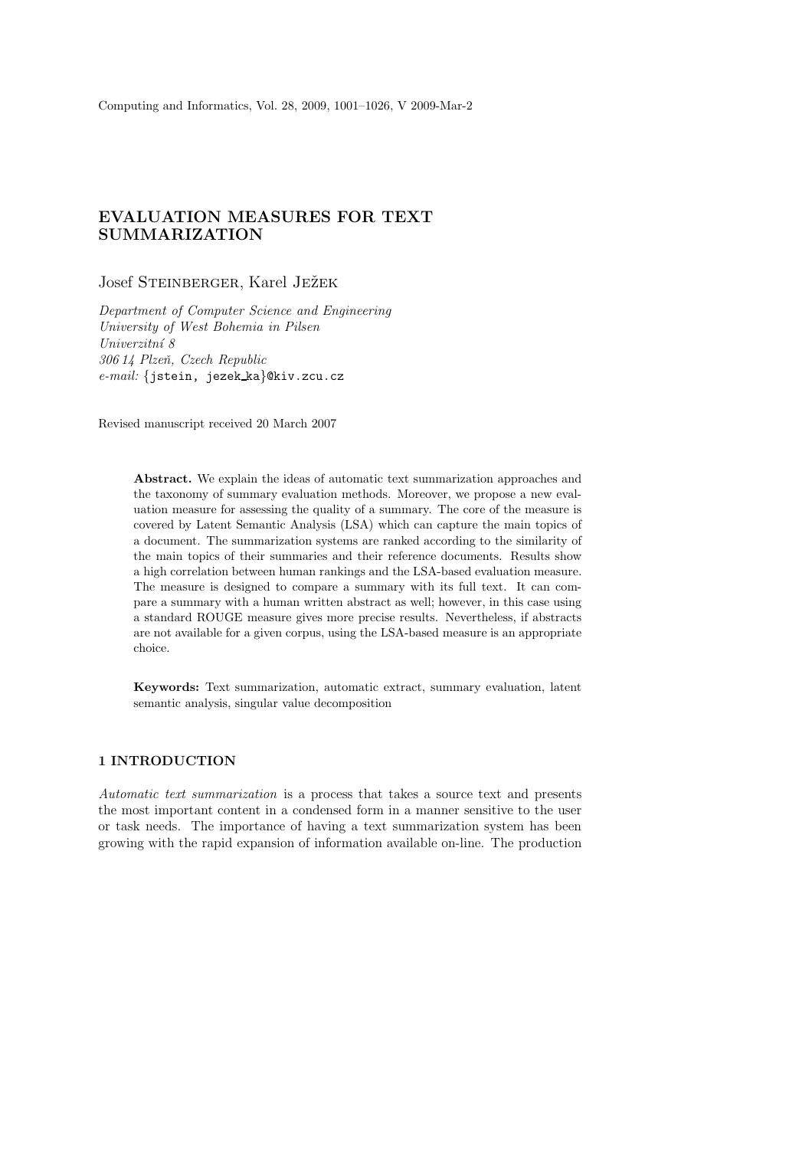# EVALUATION MEASURES FOR TEXT SUMMARIZATION

# Josef Steinberger, Karel Ježek

Department of Computer Science and Engineering University of West Bohemia in Pilsen Univerzitní 8 306 14 Plzeň, Czech Republic e-mail: {jstein, jezek ka}@kiv.zcu.cz

Revised manuscript received 20 March 2007

Abstract. We explain the ideas of automatic text summarization approaches and the taxonomy of summary evaluation methods. Moreover, we propose a new evaluation measure for assessing the quality of a summary. The core of the measure is covered by Latent Semantic Analysis (LSA) which can capture the main topics of a document. The summarization systems are ranked according to the similarity of the main topics of their summaries and their reference documents. Results show a high correlation between human rankings and the LSA-based evaluation measure. The measure is designed to compare a summary with its full text. It can compare a summary with a human written abstract as well; however, in this case using a standard ROUGE measure gives more precise results. Nevertheless, if abstracts are not available for a given corpus, using the LSA-based measure is an appropriate choice.

Keywords: Text summarization, automatic extract, summary evaluation, latent semantic analysis, singular value decomposition

# 1 INTRODUCTION

Automatic text summarization is a process that takes a source text and presents the most important content in a condensed form in a manner sensitive to the user or task needs. The importance of having a text summarization system has been growing with the rapid expansion of information available on-line. The production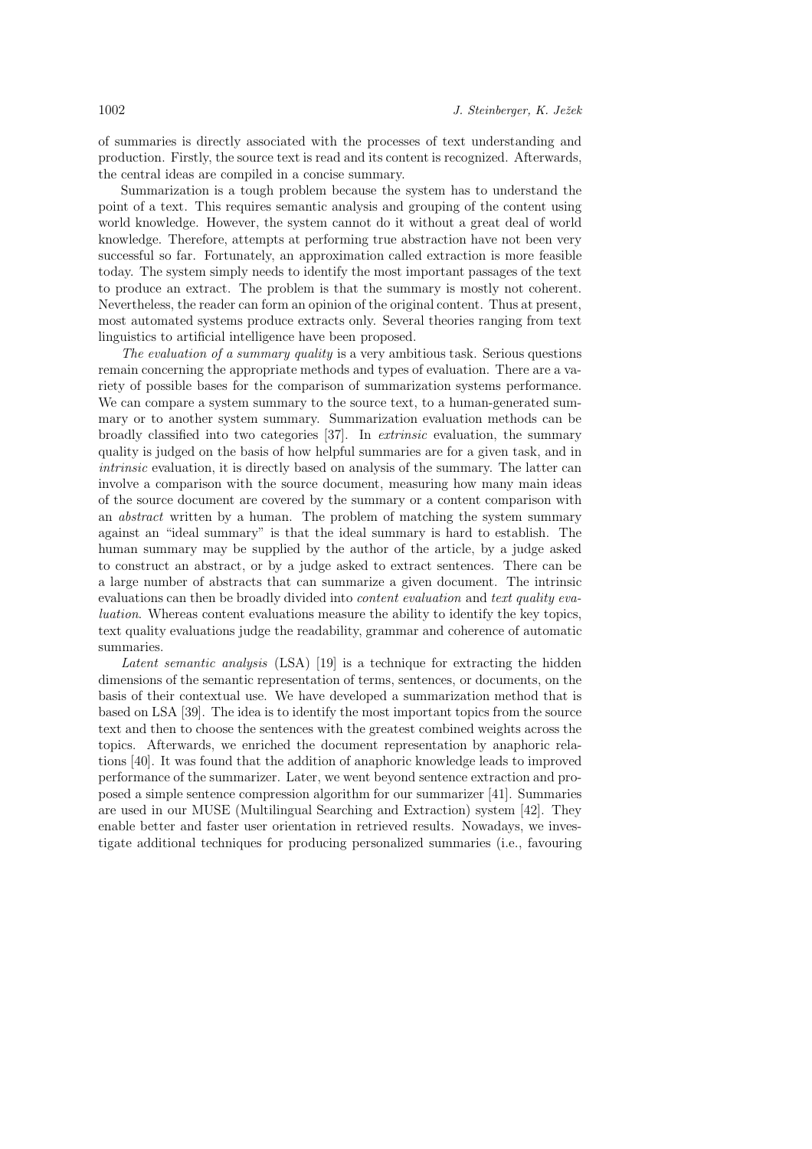of summaries is directly associated with the processes of text understanding and production. Firstly, the source text is read and its content is recognized. Afterwards, the central ideas are compiled in a concise summary.

Summarization is a tough problem because the system has to understand the point of a text. This requires semantic analysis and grouping of the content using world knowledge. However, the system cannot do it without a great deal of world knowledge. Therefore, attempts at performing true abstraction have not been very successful so far. Fortunately, an approximation called extraction is more feasible today. The system simply needs to identify the most important passages of the text to produce an extract. The problem is that the summary is mostly not coherent. Nevertheless, the reader can form an opinion of the original content. Thus at present, most automated systems produce extracts only. Several theories ranging from text linguistics to artificial intelligence have been proposed.

The evaluation of a summary quality is a very ambitious task. Serious questions remain concerning the appropriate methods and types of evaluation. There are a variety of possible bases for the comparison of summarization systems performance. We can compare a system summary to the source text, to a human-generated summary or to another system summary. Summarization evaluation methods can be broadly classified into two categories [37]. In extrinsic evaluation, the summary quality is judged on the basis of how helpful summaries are for a given task, and in intrinsic evaluation, it is directly based on analysis of the summary. The latter can involve a comparison with the source document, measuring how many main ideas of the source document are covered by the summary or a content comparison with an abstract written by a human. The problem of matching the system summary against an "ideal summary" is that the ideal summary is hard to establish. The human summary may be supplied by the author of the article, by a judge asked to construct an abstract, or by a judge asked to extract sentences. There can be a large number of abstracts that can summarize a given document. The intrinsic evaluations can then be broadly divided into *content evaluation* and text quality evaluation. Whereas content evaluations measure the ability to identify the key topics, text quality evaluations judge the readability, grammar and coherence of automatic summaries.

Latent semantic analysis (LSA) [19] is a technique for extracting the hidden dimensions of the semantic representation of terms, sentences, or documents, on the basis of their contextual use. We have developed a summarization method that is based on LSA [39]. The idea is to identify the most important topics from the source text and then to choose the sentences with the greatest combined weights across the topics. Afterwards, we enriched the document representation by anaphoric relations [40]. It was found that the addition of anaphoric knowledge leads to improved performance of the summarizer. Later, we went beyond sentence extraction and proposed a simple sentence compression algorithm for our summarizer [41]. Summaries are used in our MUSE (Multilingual Searching and Extraction) system [42]. They enable better and faster user orientation in retrieved results. Nowadays, we investigate additional techniques for producing personalized summaries (i.e., favouring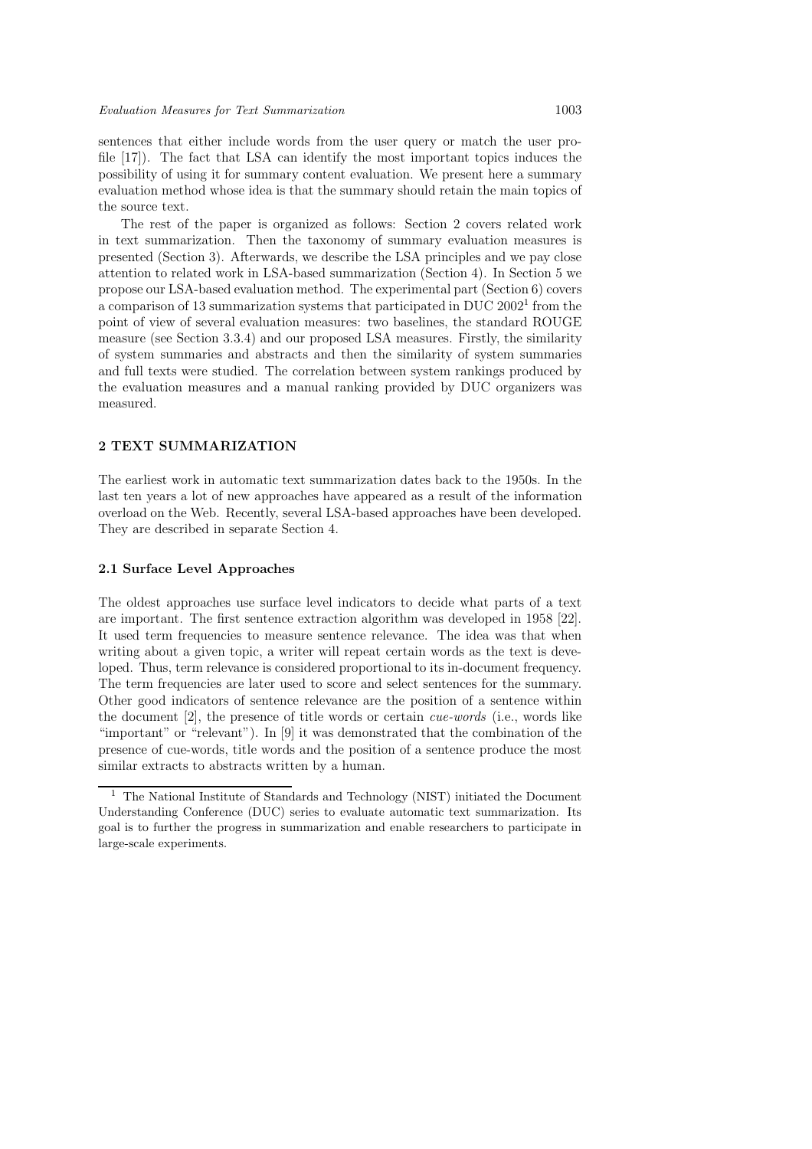sentences that either include words from the user query or match the user profile [17]). The fact that LSA can identify the most important topics induces the possibility of using it for summary content evaluation. We present here a summary evaluation method whose idea is that the summary should retain the main topics of the source text.

The rest of the paper is organized as follows: Section 2 covers related work in text summarization. Then the taxonomy of summary evaluation measures is presented (Section 3). Afterwards, we describe the LSA principles and we pay close attention to related work in LSA-based summarization (Section 4). In Section 5 we propose our LSA-based evaluation method. The experimental part (Section 6) covers a comparison of 13 summarization systems that participated in DUC 2002<sup>1</sup> from the point of view of several evaluation measures: two baselines, the standard ROUGE measure (see Section 3.3.4) and our proposed LSA measures. Firstly, the similarity of system summaries and abstracts and then the similarity of system summaries and full texts were studied. The correlation between system rankings produced by the evaluation measures and a manual ranking provided by DUC organizers was measured.

# 2 TEXT SUMMARIZATION

The earliest work in automatic text summarization dates back to the 1950s. In the last ten years a lot of new approaches have appeared as a result of the information overload on the Web. Recently, several LSA-based approaches have been developed. They are described in separate Section 4.

#### 2.1 Surface Level Approaches

The oldest approaches use surface level indicators to decide what parts of a text are important. The first sentence extraction algorithm was developed in 1958 [22]. It used term frequencies to measure sentence relevance. The idea was that when writing about a given topic, a writer will repeat certain words as the text is developed. Thus, term relevance is considered proportional to its in-document frequency. The term frequencies are later used to score and select sentences for the summary. Other good indicators of sentence relevance are the position of a sentence within the document  $[2]$ , the presence of title words or certain *cue-words* (i.e., words like "important" or "relevant"). In [9] it was demonstrated that the combination of the presence of cue-words, title words and the position of a sentence produce the most similar extracts to abstracts written by a human.

<sup>1</sup> The National Institute of Standards and Technology (NIST) initiated the Document Understanding Conference (DUC) series to evaluate automatic text summarization. Its goal is to further the progress in summarization and enable researchers to participate in large-scale experiments.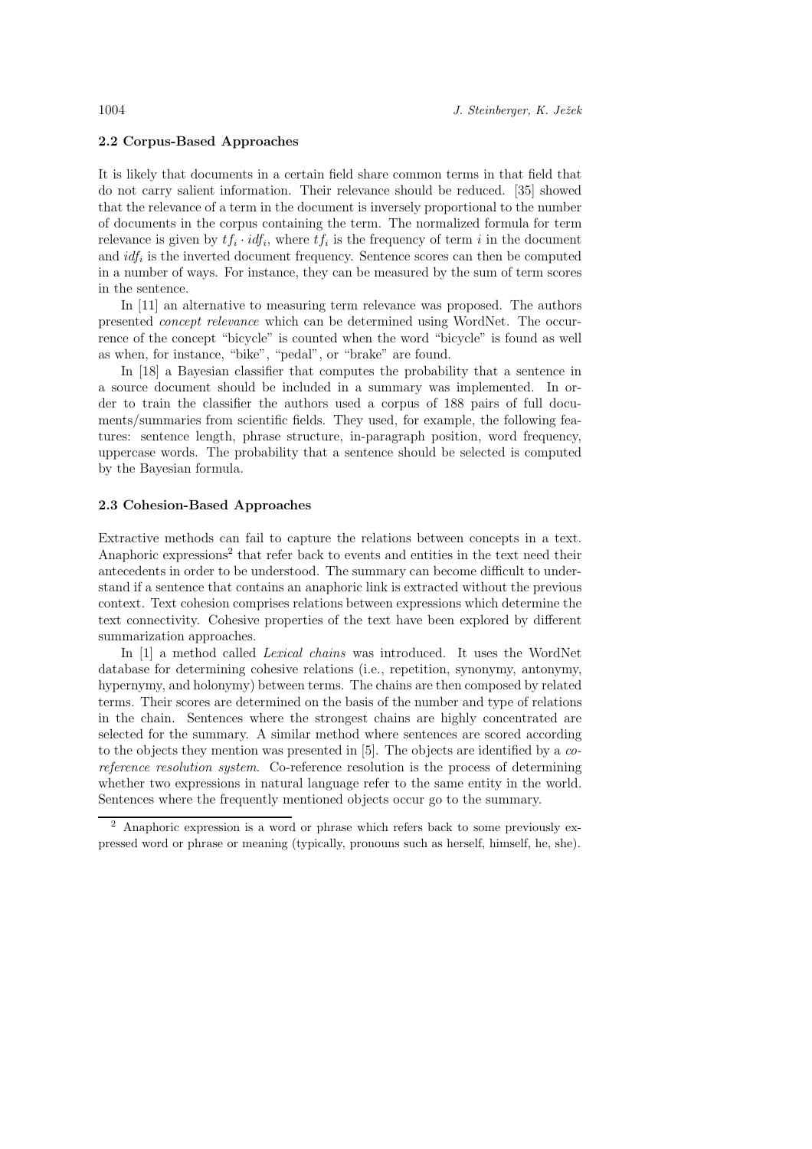# 2.2 Corpus-Based Approaches

It is likely that documents in a certain field share common terms in that field that do not carry salient information. Their relevance should be reduced. [35] showed that the relevance of a term in the document is inversely proportional to the number of documents in the corpus containing the term. The normalized formula for term relevance is given by  $tf_i \cdot idf_i$ , where  $tf_i$  is the frequency of term i in the document and  $\textit{id} f_i$  is the inverted document frequency. Sentence scores can then be computed in a number of ways. For instance, they can be measured by the sum of term scores in the sentence.

In [11] an alternative to measuring term relevance was proposed. The authors presented concept relevance which can be determined using WordNet. The occurrence of the concept "bicycle" is counted when the word "bicycle" is found as well as when, for instance, "bike", "pedal", or "brake" are found.

In [18] a Bayesian classifier that computes the probability that a sentence in a source document should be included in a summary was implemented. In order to train the classifier the authors used a corpus of 188 pairs of full documents/summaries from scientific fields. They used, for example, the following features: sentence length, phrase structure, in-paragraph position, word frequency, uppercase words. The probability that a sentence should be selected is computed by the Bayesian formula.

#### 2.3 Cohesion-Based Approaches

Extractive methods can fail to capture the relations between concepts in a text. Anaphoric expressions<sup>2</sup> that refer back to events and entities in the text need their antecedents in order to be understood. The summary can become difficult to understand if a sentence that contains an anaphoric link is extracted without the previous context. Text cohesion comprises relations between expressions which determine the text connectivity. Cohesive properties of the text have been explored by different summarization approaches.

In [1] a method called Lexical chains was introduced. It uses the WordNet database for determining cohesive relations (i.e., repetition, synonymy, antonymy, hypernymy, and holonymy) between terms. The chains are then composed by related terms. Their scores are determined on the basis of the number and type of relations in the chain. Sentences where the strongest chains are highly concentrated are selected for the summary. A similar method where sentences are scored according to the objects they mention was presented in [5]. The objects are identified by a coreference resolution system. Co-reference resolution is the process of determining whether two expressions in natural language refer to the same entity in the world. Sentences where the frequently mentioned objects occur go to the summary.

<sup>2</sup> Anaphoric expression is a word or phrase which refers back to some previously expressed word or phrase or meaning (typically, pronouns such as herself, himself, he, she).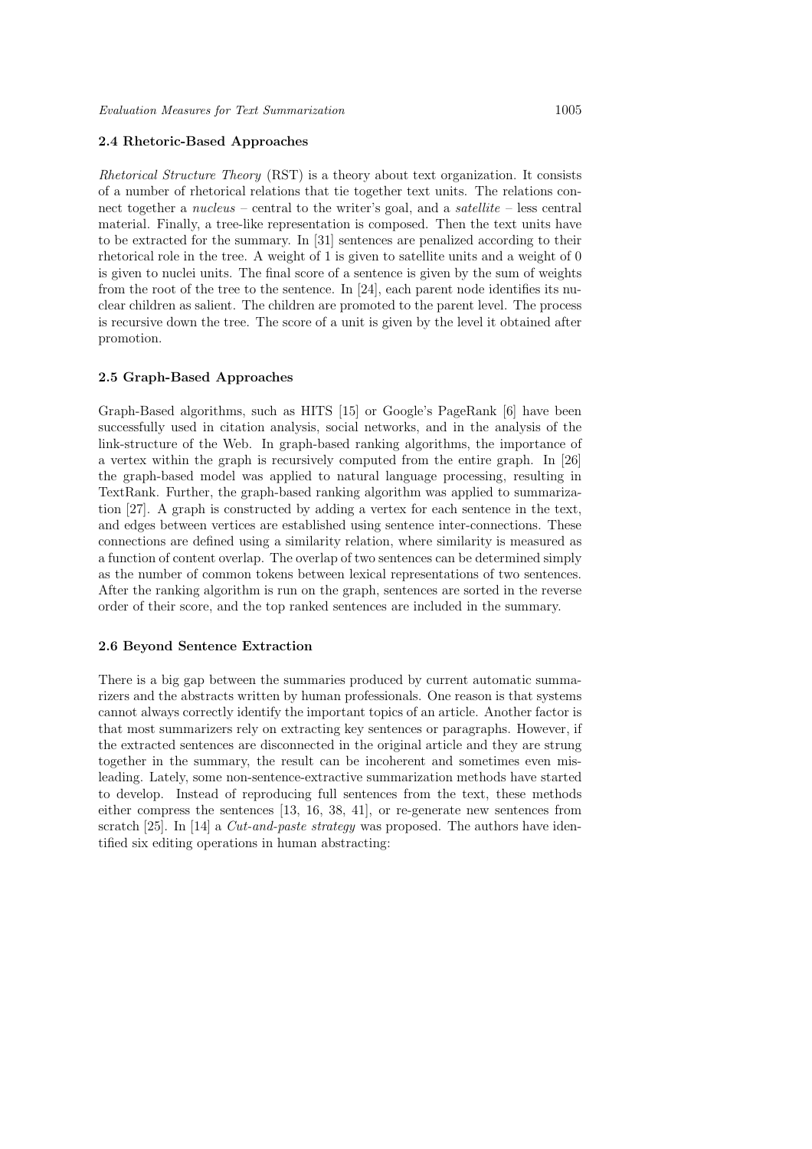## 2.4 Rhetoric-Based Approaches

Rhetorical Structure Theory (RST) is a theory about text organization. It consists of a number of rhetorical relations that tie together text units. The relations connect together a nucleus – central to the writer's goal, and a satellite – less central material. Finally, a tree-like representation is composed. Then the text units have to be extracted for the summary. In [31] sentences are penalized according to their rhetorical role in the tree. A weight of 1 is given to satellite units and a weight of 0 is given to nuclei units. The final score of a sentence is given by the sum of weights from the root of the tree to the sentence. In [24], each parent node identifies its nuclear children as salient. The children are promoted to the parent level. The process is recursive down the tree. The score of a unit is given by the level it obtained after promotion.

#### 2.5 Graph-Based Approaches

Graph-Based algorithms, such as HITS [15] or Google's PageRank [6] have been successfully used in citation analysis, social networks, and in the analysis of the link-structure of the Web. In graph-based ranking algorithms, the importance of a vertex within the graph is recursively computed from the entire graph. In [26] the graph-based model was applied to natural language processing, resulting in TextRank. Further, the graph-based ranking algorithm was applied to summarization [27]. A graph is constructed by adding a vertex for each sentence in the text, and edges between vertices are established using sentence inter-connections. These connections are defined using a similarity relation, where similarity is measured as a function of content overlap. The overlap of two sentences can be determined simply as the number of common tokens between lexical representations of two sentences. After the ranking algorithm is run on the graph, sentences are sorted in the reverse order of their score, and the top ranked sentences are included in the summary.

#### 2.6 Beyond Sentence Extraction

There is a big gap between the summaries produced by current automatic summarizers and the abstracts written by human professionals. One reason is that systems cannot always correctly identify the important topics of an article. Another factor is that most summarizers rely on extracting key sentences or paragraphs. However, if the extracted sentences are disconnected in the original article and they are strung together in the summary, the result can be incoherent and sometimes even misleading. Lately, some non-sentence-extractive summarization methods have started to develop. Instead of reproducing full sentences from the text, these methods either compress the sentences [13, 16, 38, 41], or re-generate new sentences from scratch [25]. In [14] a *Cut-and-paste strategy* was proposed. The authors have identified six editing operations in human abstracting: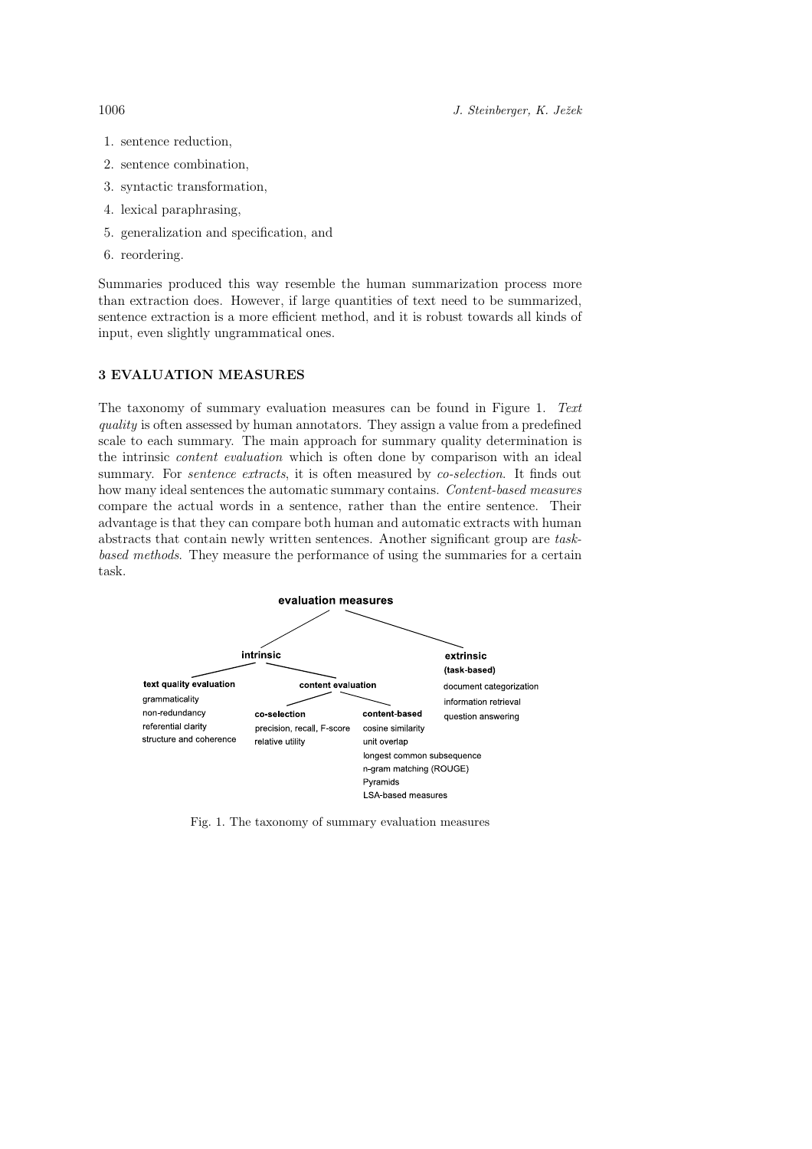1006 J. Steinberger, K. Ježek

- 1. sentence reduction,
- 2. sentence combination,
- 3. syntactic transformation,
- 4. lexical paraphrasing,
- 5. generalization and specification, and
- 6. reordering.

Summaries produced this way resemble the human summarization process more than extraction does. However, if large quantities of text need to be summarized, sentence extraction is a more efficient method, and it is robust towards all kinds of input, even slightly ungrammatical ones.

## 3 EVALUATION MEASURES

The taxonomy of summary evaluation measures can be found in Figure 1. Text quality is often assessed by human annotators. They assign a value from a predefined scale to each summary. The main approach for summary quality determination is the intrinsic content evaluation which is often done by comparison with an ideal summary. For *sentence extracts*, it is often measured by *co-selection*. It finds out how many ideal sentences the automatic summary contains. Content-based measures compare the actual words in a sentence, rather than the entire sentence. Their advantage is that they can compare both human and automatic extracts with human abstracts that contain newly written sentences. Another significant group are taskbased methods. They measure the performance of using the summaries for a certain task.



Fig. 1. The taxonomy of summary evaluation measures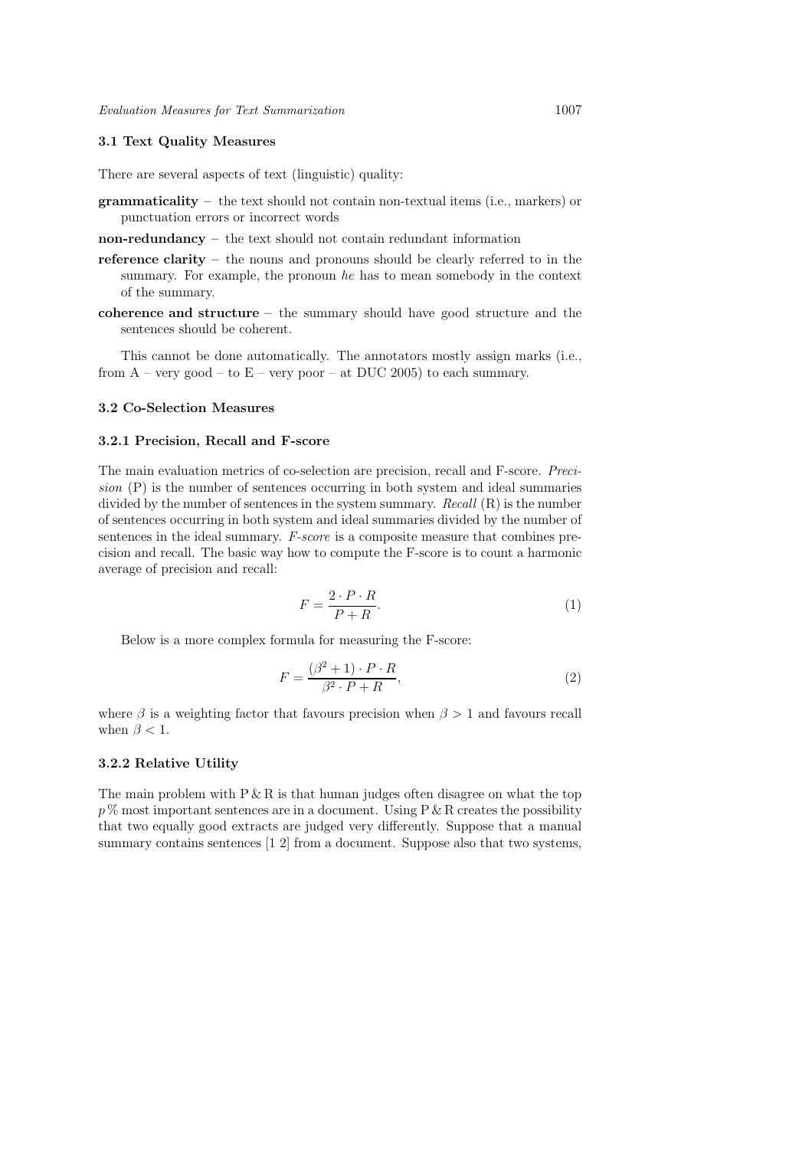# 3.1 Text Quality Measures

There are several aspects of text (linguistic) quality:

- grammaticality the text should not contain non-textual items (i.e., markers) or punctuation errors or incorrect words
- non-redundancy the text should not contain redundant information
- reference clarity the nouns and pronouns should be clearly referred to in the summary. For example, the pronoun he has to mean somebody in the context of the summary.
- coherence and structure the summary should have good structure and the sentences should be coherent.

This cannot be done automatically. The annotators mostly assign marks (i.e., from  $A$  – very good – to  $E$  – very poor – at DUC 2005) to each summary.

#### 3.2 Co-Selection Measures

# 3.2.1 Precision, Recall and F-score

The main evaluation metrics of co-selection are precision, recall and F-score. Precision (P) is the number of sentences occurring in both system and ideal summaries divided by the number of sentences in the system summary.  $Recall (\mathrm{R})$  is the number of sentences occurring in both system and ideal summaries divided by the number of sentences in the ideal summary. F-score is a composite measure that combines precision and recall. The basic way how to compute the F-score is to count a harmonic average of precision and recall:

$$
F = \frac{2 \cdot P \cdot R}{P + R}.\tag{1}
$$

Below is a more complex formula for measuring the F-score:

$$
F = \frac{(\beta^2 + 1) \cdot P \cdot R}{\beta^2 \cdot P + R},\tag{2}
$$

where  $\beta$  is a weighting factor that favours precision when  $\beta > 1$  and favours recall when  $\beta < 1$ .

# 3.2.2 Relative Utility

The main problem with  $P \& R$  is that human judges often disagree on what the top  $p\%$  most important sentences are in a document. Using P & R creates the possibility that two equally good extracts are judged very differently. Suppose that a manual summary contains sentences  $[1 2]$  from a document. Suppose also that two systems,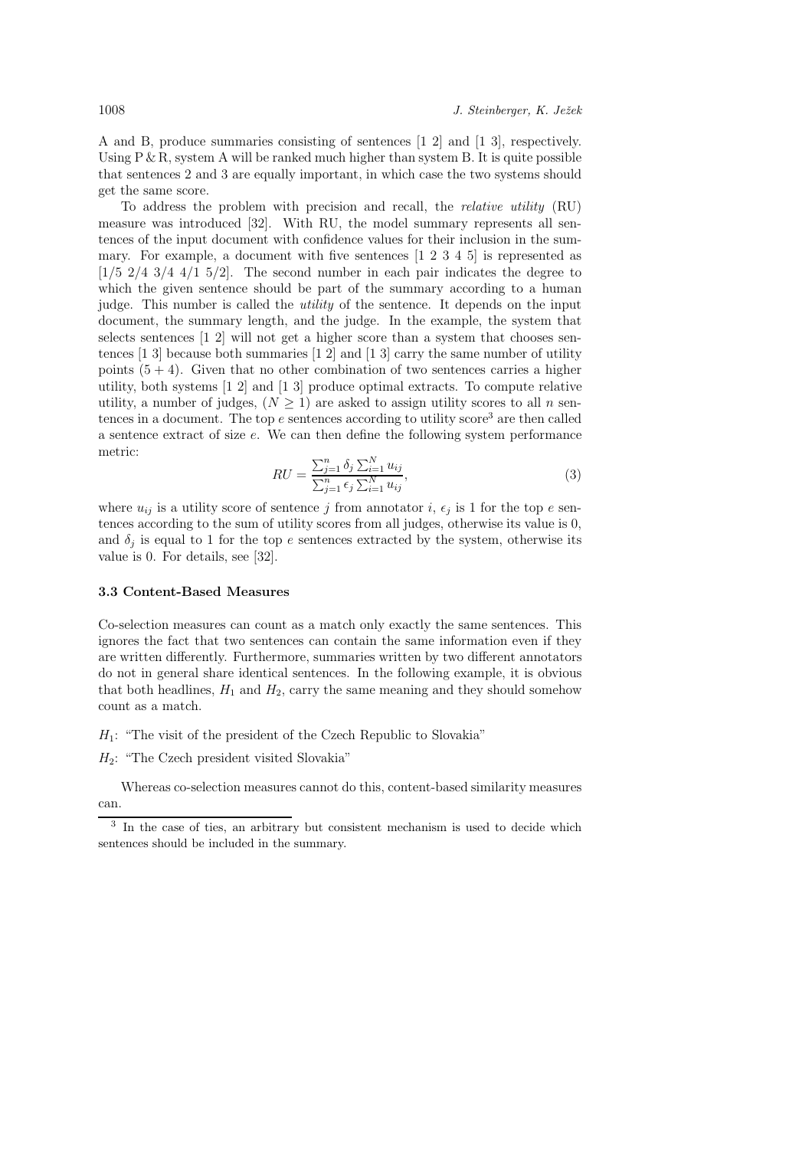A and B, produce summaries consisting of sentences [1 2] and [1 3], respectively. Using P & R, system A will be ranked much higher than system B. It is quite possible that sentences 2 and 3 are equally important, in which case the two systems should get the same score.

To address the problem with precision and recall, the relative utility (RU) measure was introduced [32]. With RU, the model summary represents all sentences of the input document with confidence values for their inclusion in the summary. For example, a document with five sentences [1 2 3 4 5] is represented as  $[1/5 \ 2/4 \ 3/4 \ 4/1 \ 5/2]$ . The second number in each pair indicates the degree to which the given sentence should be part of the summary according to a human judge. This number is called the utility of the sentence. It depends on the input document, the summary length, and the judge. In the example, the system that selects sentences [1 2] will not get a higher score than a system that chooses sentences  $[1\ 3]$  because both summaries  $[1\ 2]$  and  $[1\ 3]$  carry the same number of utility points  $(5 + 4)$ . Given that no other combination of two sentences carries a higher utility, both systems [1 2] and [1 3] produce optimal extracts. To compute relative utility, a number of judges,  $(N \geq 1)$  are asked to assign utility scores to all n sentences in a document. The top  $e$  sentences according to utility score<sup>3</sup> are then called a sentence extract of size e. We can then define the following system performance metric:

$$
RU = \frac{\sum_{j=1}^{n} \delta_j \sum_{i=1}^{N} u_{ij}}{\sum_{j=1}^{n} \epsilon_j \sum_{i=1}^{N} u_{ij}},
$$
\n(3)

where  $u_{ij}$  is a utility score of sentence j from annotator i,  $\epsilon_j$  is 1 for the top e sentences according to the sum of utility scores from all judges, otherwise its value is 0, and  $\delta_j$  is equal to 1 for the top e sentences extracted by the system, otherwise its value is 0. For details, see [32].

#### 3.3 Content-Based Measures

Co-selection measures can count as a match only exactly the same sentences. This ignores the fact that two sentences can contain the same information even if they are written differently. Furthermore, summaries written by two different annotators do not in general share identical sentences. In the following example, it is obvious that both headlines,  $H_1$  and  $H_2$ , carry the same meaning and they should somehow count as a match.

- $H_1$ : "The visit of the president of the Czech Republic to Slovakia"
- $H_2$ : "The Czech president visited Slovakia"

Whereas co-selection measures cannot do this, content-based similarity measures can.

<sup>&</sup>lt;sup>3</sup> In the case of ties, an arbitrary but consistent mechanism is used to decide which sentences should be included in the summary.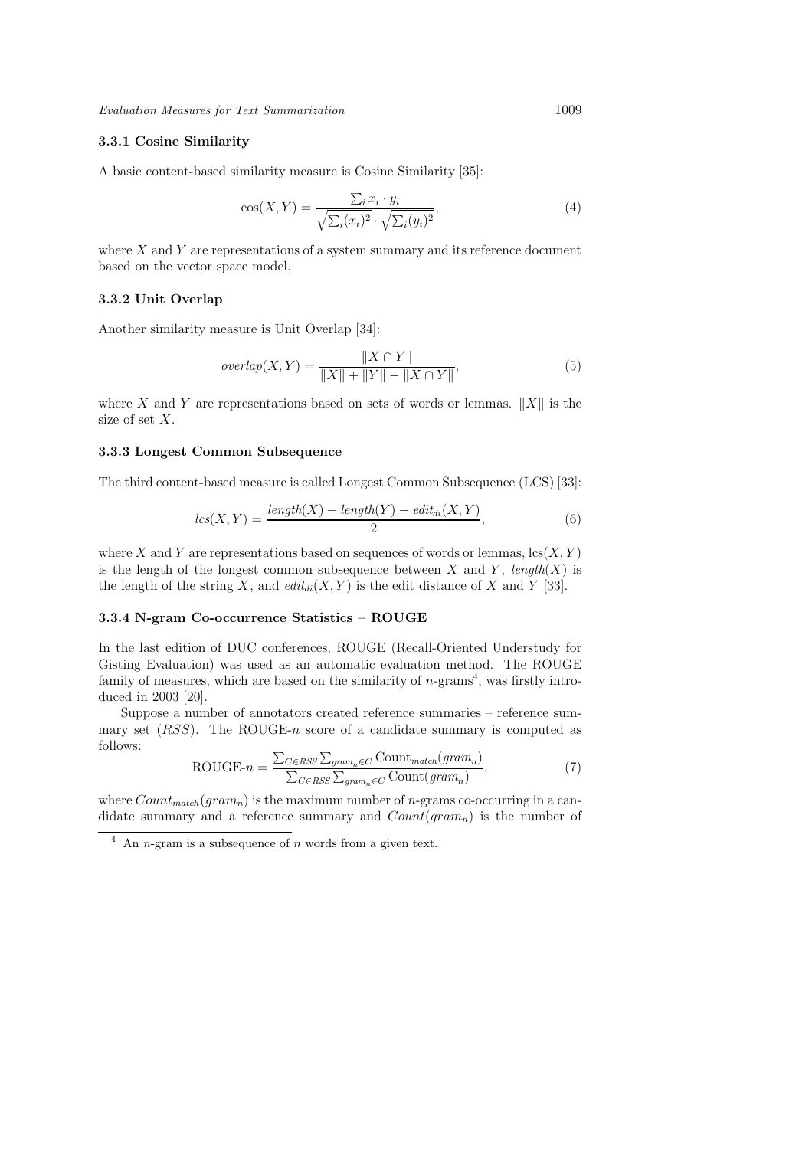# 3.3.1 Cosine Similarity

A basic content-based similarity measure is Cosine Similarity [35]:

$$
\cos(X, Y) = \frac{\sum_{i} x_i \cdot y_i}{\sqrt{\sum_{i} (x_i)^2} \cdot \sqrt{\sum_{i} (y_i)^2}},\tag{4}
$$

where  $X$  and  $Y$  are representations of a system summary and its reference document based on the vector space model.

# 3.3.2 Unit Overlap

Another similarity measure is Unit Overlap [34]:

$$
overlap(X, Y) = \frac{||X \cap Y||}{||X|| + ||Y|| - ||X \cap Y||},
$$
\n(5)

where X and Y are representations based on sets of words or lemmas.  $||X||$  is the size of set X.

# 3.3.3 Longest Common Subsequence

The third content-based measure is called Longest Common Subsequence (LCS) [33]:

$$
lcs(X,Y) = \frac{length(X) + length(Y) - edit_{di}(X,Y)}{2},
$$
\n(6)

where X and Y are representations based on sequences of words or lemmas,  $\text{lcs}(X, Y)$ is the length of the longest common subsequence between X and Y, length(X) is the length of the string X, and  $\text{edit}_{di}(X, Y)$  is the edit distance of X and Y [33].

# 3.3.4 N-gram Co-occurrence Statistics – ROUGE

In the last edition of DUC conferences, ROUGE (Recall-Oriented Understudy for Gisting Evaluation) was used as an automatic evaluation method. The ROUGE family of measures, which are based on the similarity of  $n$ -grams<sup>4</sup>, was firstly introduced in 2003 [20].

Suppose a number of annotators created reference summaries – reference summary set  $(RSS)$ . The ROUGE-n score of a candidate summary is computed as follows:

$$
ROUGE-n = \frac{\sum_{C \in RSS} \sum_{gram_n \in C} Count_{match}(gram_n)}{\sum_{C \in RSS} \sum_{gram_n \in C} Count(gram_n)},
$$
\n(7)

where  $Count_{match}(gram_n)$  is the maximum number of *n*-grams co-occurring in a candidate summary and a reference summary and  $Count(gram_n)$  is the number of

 $4$  An *n*-gram is a subsequence of *n* words from a given text.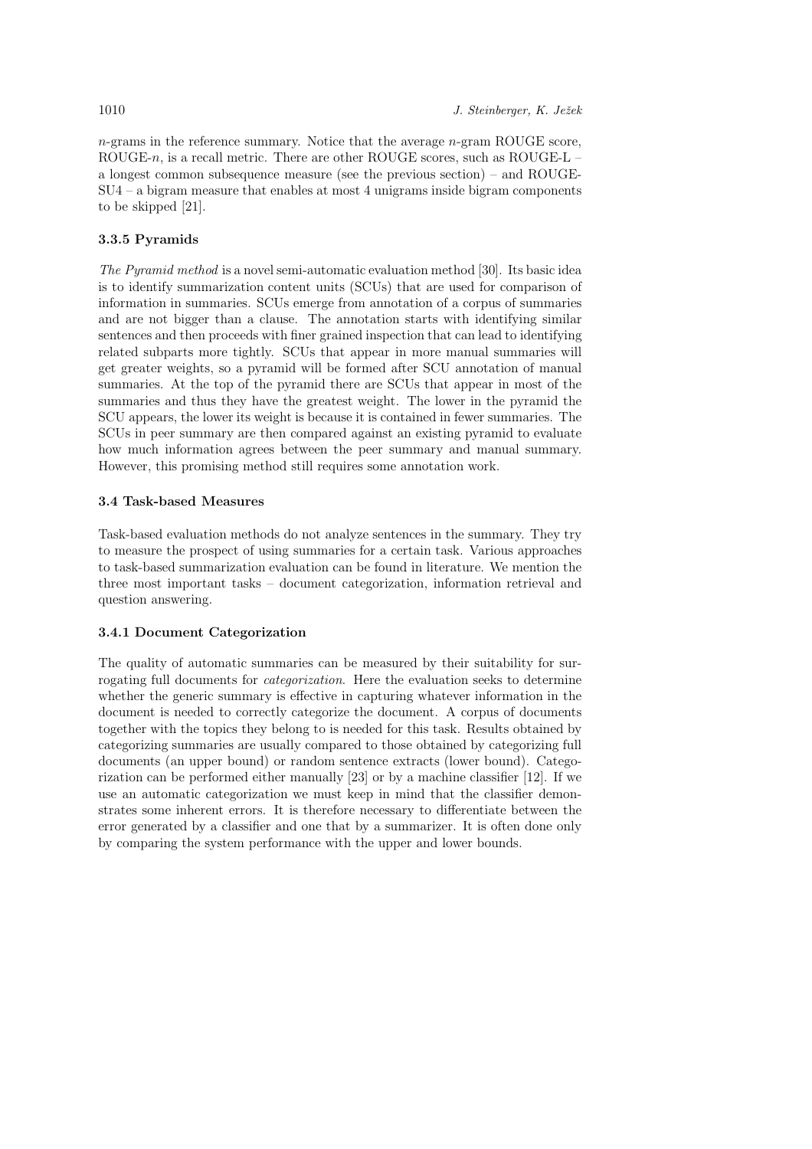$n$ -grams in the reference summary. Notice that the average  $n$ -gram ROUGE score, ROUGE-n, is a recall metric. There are other ROUGE scores, such as ROUGE-L – a longest common subsequence measure (see the previous section) – and ROUGE-SU4 – a bigram measure that enables at most 4 unigrams inside bigram components to be skipped [21].

#### 3.3.5 Pyramids

The Pyramid method is a novel semi-automatic evaluation method [30]. Its basic idea is to identify summarization content units (SCUs) that are used for comparison of information in summaries. SCUs emerge from annotation of a corpus of summaries and are not bigger than a clause. The annotation starts with identifying similar sentences and then proceeds with finer grained inspection that can lead to identifying related subparts more tightly. SCUs that appear in more manual summaries will get greater weights, so a pyramid will be formed after SCU annotation of manual summaries. At the top of the pyramid there are SCUs that appear in most of the summaries and thus they have the greatest weight. The lower in the pyramid the SCU appears, the lower its weight is because it is contained in fewer summaries. The SCUs in peer summary are then compared against an existing pyramid to evaluate how much information agrees between the peer summary and manual summary. However, this promising method still requires some annotation work.

# 3.4 Task-based Measures

Task-based evaluation methods do not analyze sentences in the summary. They try to measure the prospect of using summaries for a certain task. Various approaches to task-based summarization evaluation can be found in literature. We mention the three most important tasks – document categorization, information retrieval and question answering.

# 3.4.1 Document Categorization

The quality of automatic summaries can be measured by their suitability for surrogating full documents for categorization. Here the evaluation seeks to determine whether the generic summary is effective in capturing whatever information in the document is needed to correctly categorize the document. A corpus of documents together with the topics they belong to is needed for this task. Results obtained by categorizing summaries are usually compared to those obtained by categorizing full documents (an upper bound) or random sentence extracts (lower bound). Categorization can be performed either manually [23] or by a machine classifier [12]. If we use an automatic categorization we must keep in mind that the classifier demonstrates some inherent errors. It is therefore necessary to differentiate between the error generated by a classifier and one that by a summarizer. It is often done only by comparing the system performance with the upper and lower bounds.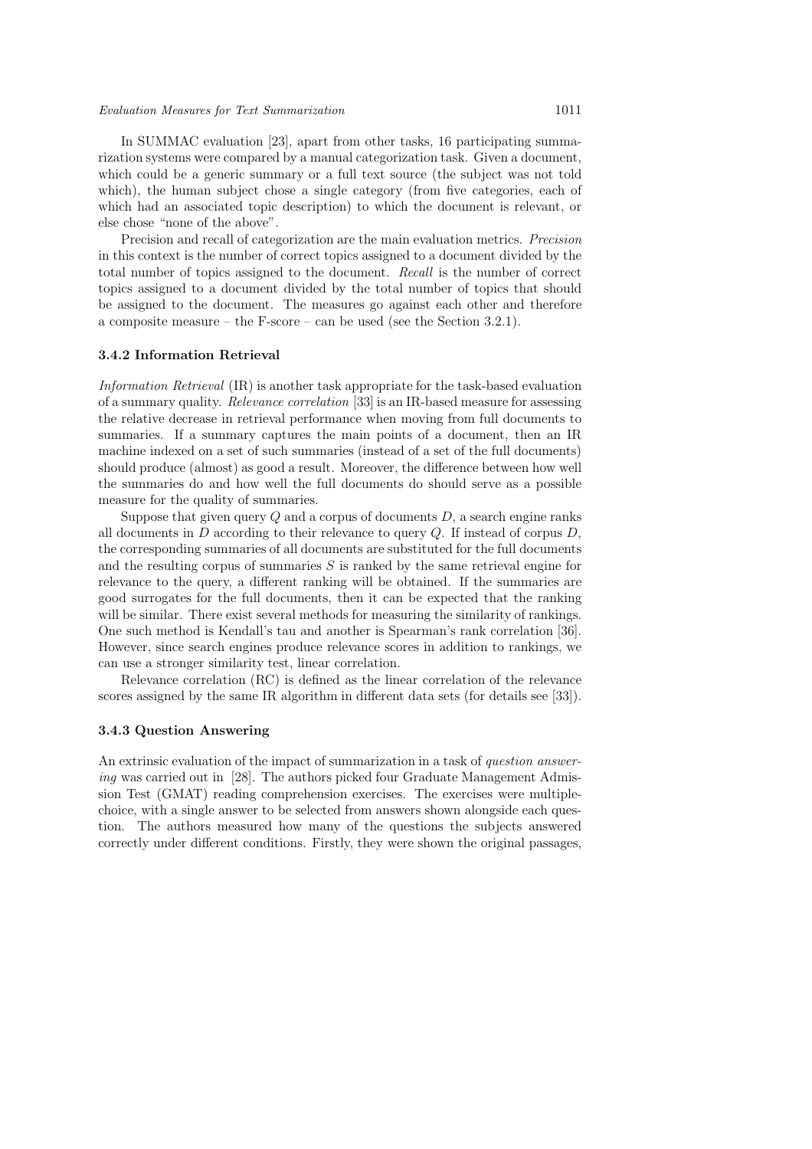#### Evaluation Measures for Text Summarization 1011

In SUMMAC evaluation [23], apart from other tasks, 16 participating summarization systems were compared by a manual categorization task. Given a document, which could be a generic summary or a full text source (the subject was not told which), the human subject chose a single category (from five categories, each of which had an associated topic description) to which the document is relevant, or else chose "none of the above".

Precision and recall of categorization are the main evaluation metrics. Precision in this context is the number of correct topics assigned to a document divided by the total number of topics assigned to the document. Recall is the number of correct topics assigned to a document divided by the total number of topics that should be assigned to the document. The measures go against each other and therefore a composite measure – the F-score – can be used (see the Section 3.2.1).

#### 3.4.2 Information Retrieval

Information Retrieval (IR) is another task appropriate for the task-based evaluation of a summary quality. Relevance correlation [33] is an IR-based measure for assessing the relative decrease in retrieval performance when moving from full documents to summaries. If a summary captures the main points of a document, then an IR machine indexed on a set of such summaries (instead of a set of the full documents) should produce (almost) as good a result. Moreover, the difference between how well the summaries do and how well the full documents do should serve as a possible measure for the quality of summaries.

Suppose that given query  $O$  and a corpus of documents  $D$ , a search engine ranks all documents in  $D$  according to their relevance to query  $Q$ . If instead of corpus  $D$ , the corresponding summaries of all documents are substituted for the full documents and the resulting corpus of summaries  $S$  is ranked by the same retrieval engine for relevance to the query, a different ranking will be obtained. If the summaries are good surrogates for the full documents, then it can be expected that the ranking will be similar. There exist several methods for measuring the similarity of rankings. One such method is Kendall's tau and another is Spearman's rank correlation [36]. However, since search engines produce relevance scores in addition to rankings, we can use a stronger similarity test, linear correlation.

Relevance correlation (RC) is defined as the linear correlation of the relevance scores assigned by the same IR algorithm in different data sets (for details see [33]).

#### 3.4.3 Question Answering

An extrinsic evaluation of the impact of summarization in a task of question answering was carried out in [28]. The authors picked four Graduate Management Admission Test (GMAT) reading comprehension exercises. The exercises were multiplechoice, with a single answer to be selected from answers shown alongside each question. The authors measured how many of the questions the subjects answered correctly under different conditions. Firstly, they were shown the original passages,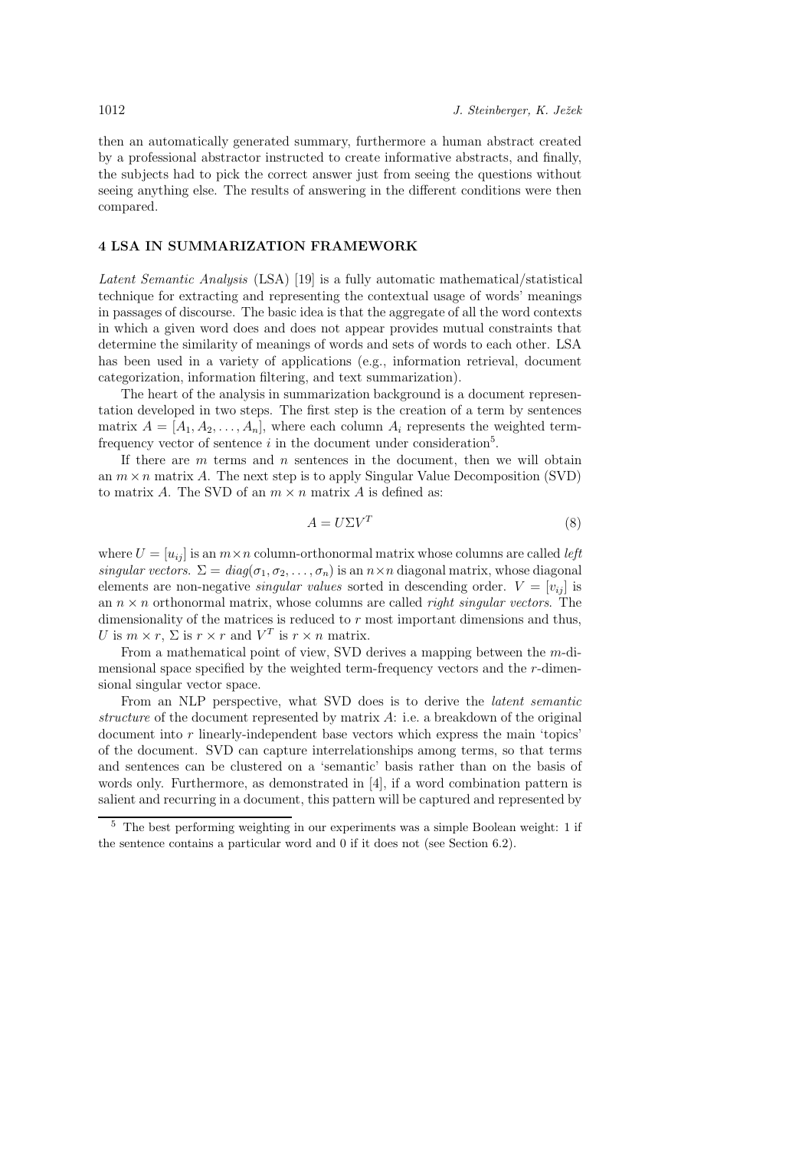then an automatically generated summary, furthermore a human abstract created by a professional abstractor instructed to create informative abstracts, and finally, the subjects had to pick the correct answer just from seeing the questions without seeing anything else. The results of answering in the different conditions were then compared.

# 4 LSA IN SUMMARIZATION FRAMEWORK

Latent Semantic Analysis (LSA) [19] is a fully automatic mathematical/statistical technique for extracting and representing the contextual usage of words' meanings in passages of discourse. The basic idea is that the aggregate of all the word contexts in which a given word does and does not appear provides mutual constraints that determine the similarity of meanings of words and sets of words to each other. LSA has been used in a variety of applications (e.g., information retrieval, document categorization, information filtering, and text summarization).

The heart of the analysis in summarization background is a document representation developed in two steps. The first step is the creation of a term by sentences matrix  $A = [A_1, A_2, \ldots, A_n]$ , where each column  $A_i$  represents the weighted termfrequency vector of sentence  $i$  in the document under consideration<sup>5</sup>.

If there are  $m$  terms and  $n$  sentences in the document, then we will obtain an  $m \times n$  matrix A. The next step is to apply Singular Value Decomposition (SVD) to matrix A. The SVD of an  $m \times n$  matrix A is defined as:

$$
A = U\Sigma V^T \tag{8}
$$

where  $U = [u_{ij}]$  is an  $m \times n$  column-orthonormal matrix whose columns are called *left* singular vectors.  $\Sigma = diag(\sigma_1, \sigma_2, \ldots, \sigma_n)$  is an  $n \times n$  diagonal matrix, whose diagonal elements are non-negative *singular values* sorted in descending order.  $V = [v_{ij}]$  is an  $n \times n$  orthonormal matrix, whose columns are called *right singular vectors*. The dimensionality of the matrices is reduced to  $r$  most important dimensions and thus, U is  $m \times r$ ,  $\Sigma$  is  $r \times r$  and  $V^T$  is  $r \times n$  matrix.

From a mathematical point of view, SVD derives a mapping between the m-dimensional space specified by the weighted term-frequency vectors and the r-dimensional singular vector space.

From an NLP perspective, what SVD does is to derive the latent semantic structure of the document represented by matrix  $A$ : i.e. a breakdown of the original document into  $r$  linearly-independent base vectors which express the main 'topics' of the document. SVD can capture interrelationships among terms, so that terms and sentences can be clustered on a 'semantic' basis rather than on the basis of words only. Furthermore, as demonstrated in [4], if a word combination pattern is salient and recurring in a document, this pattern will be captured and represented by

<sup>5</sup> The best performing weighting in our experiments was a simple Boolean weight: 1 if the sentence contains a particular word and 0 if it does not (see Section 6.2).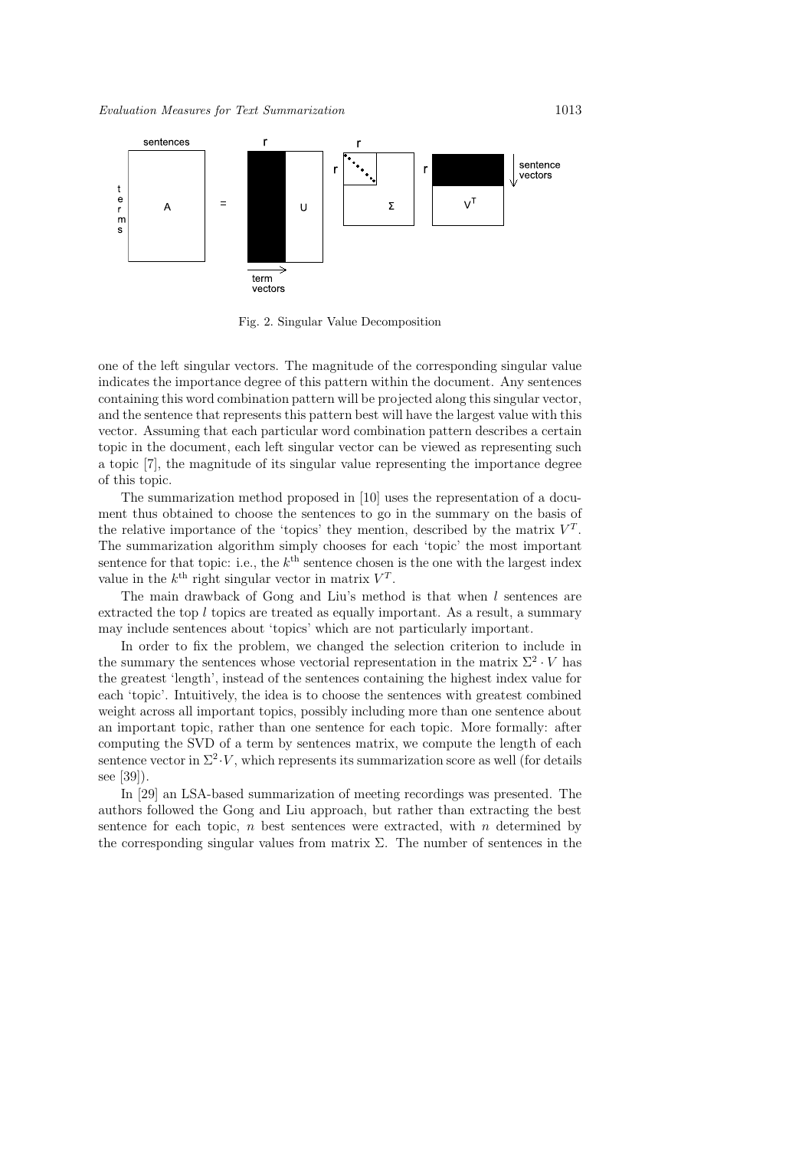

Fig. 2. Singular Value Decomposition

one of the left singular vectors. The magnitude of the corresponding singular value indicates the importance degree of this pattern within the document. Any sentences containing this word combination pattern will be projected along this singular vector, and the sentence that represents this pattern best will have the largest value with this vector. Assuming that each particular word combination pattern describes a certain topic in the document, each left singular vector can be viewed as representing such a topic [7], the magnitude of its singular value representing the importance degree of this topic.

The summarization method proposed in [10] uses the representation of a document thus obtained to choose the sentences to go in the summary on the basis of the relative importance of the 'topics' they mention, described by the matrix  $V<sup>T</sup>$ . The summarization algorithm simply chooses for each 'topic' the most important sentence for that topic: i.e., the  $k^{\text{th}}$  sentence chosen is the one with the largest index value in the  $k^{\text{th}}$  right singular vector in matrix  $V^{T}$ .

The main drawback of Gong and Liu's method is that when  $l$  sentences are extracted the top l topics are treated as equally important. As a result, a summary may include sentences about 'topics' which are not particularly important.

In order to fix the problem, we changed the selection criterion to include in the summary the sentences whose vectorial representation in the matrix  $\Sigma^2 \cdot V$  has the greatest 'length', instead of the sentences containing the highest index value for each 'topic'. Intuitively, the idea is to choose the sentences with greatest combined weight across all important topics, possibly including more than one sentence about an important topic, rather than one sentence for each topic. More formally: after computing the SVD of a term by sentences matrix, we compute the length of each sentence vector in  $\Sigma^2 \cdot V$ , which represents its summarization score as well (for details see [39]).

In [29] an LSA-based summarization of meeting recordings was presented. The authors followed the Gong and Liu approach, but rather than extracting the best sentence for each topic,  $n$  best sentences were extracted, with  $n$  determined by the corresponding singular values from matrix  $\Sigma$ . The number of sentences in the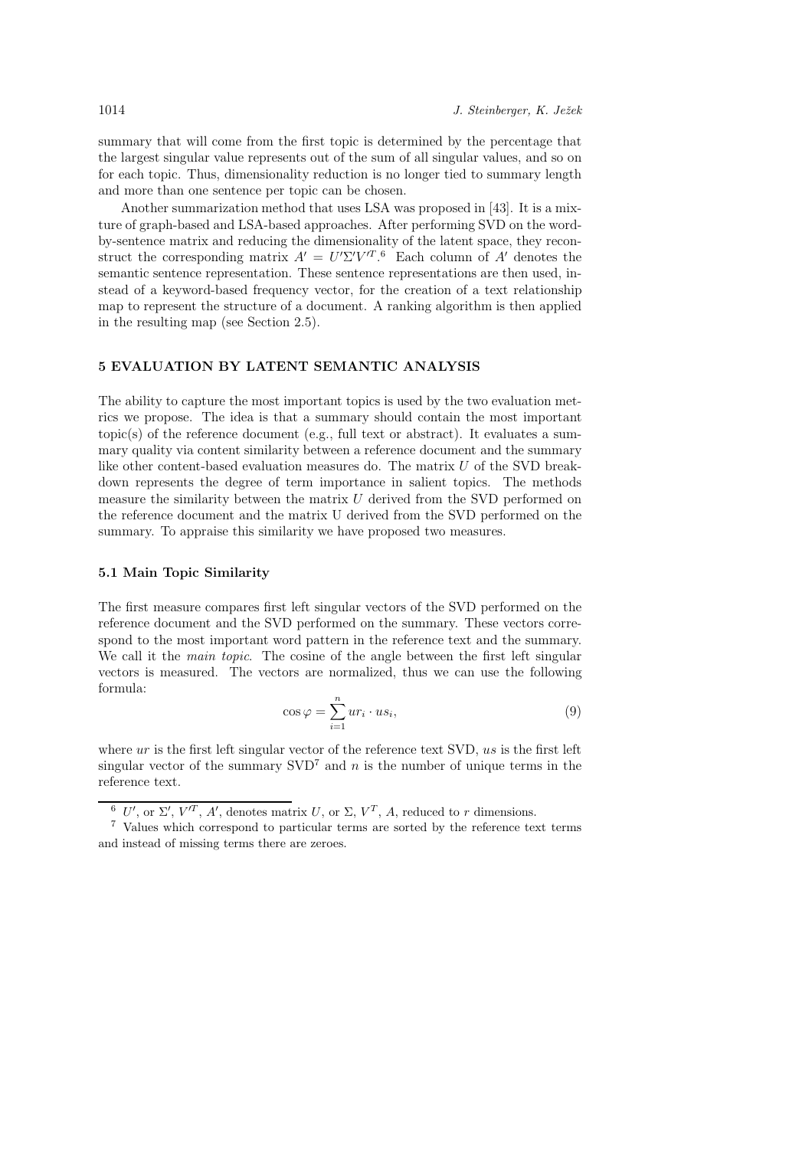summary that will come from the first topic is determined by the percentage that the largest singular value represents out of the sum of all singular values, and so on for each topic. Thus, dimensionality reduction is no longer tied to summary length and more than one sentence per topic can be chosen.

Another summarization method that uses LSA was proposed in [43]. It is a mixture of graph-based and LSA-based approaches. After performing SVD on the wordby-sentence matrix and reducing the dimensionality of the latent space, they reconstruct the corresponding matrix  $A' = U' \Sigma' V'^{T}$ .<sup>6</sup> Each column of A' denotes the semantic sentence representation. These sentence representations are then used, instead of a keyword-based frequency vector, for the creation of a text relationship map to represent the structure of a document. A ranking algorithm is then applied in the resulting map (see Section 2.5).

#### 5 EVALUATION BY LATENT SEMANTIC ANALYSIS

The ability to capture the most important topics is used by the two evaluation metrics we propose. The idea is that a summary should contain the most important topic(s) of the reference document (e.g., full text or abstract). It evaluates a summary quality via content similarity between a reference document and the summary like other content-based evaluation measures do. The matrix  $U$  of the SVD breakdown represents the degree of term importance in salient topics. The methods measure the similarity between the matrix  $U$  derived from the SVD performed on the reference document and the matrix U derived from the SVD performed on the summary. To appraise this similarity we have proposed two measures.

### 5.1 Main Topic Similarity

The first measure compares first left singular vectors of the SVD performed on the reference document and the SVD performed on the summary. These vectors correspond to the most important word pattern in the reference text and the summary. We call it the *main topic*. The cosine of the angle between the first left singular vectors is measured. The vectors are normalized, thus we can use the following formula:

$$
\cos \varphi = \sum_{i=1}^{n} u r_i \cdot u s_i,
$$
\n(9)

where  $ur$  is the first left singular vector of the reference text SVD, us is the first left singular vector of the summary  $SVD<sup>7</sup>$  and n is the number of unique terms in the reference text.

<sup>&</sup>lt;sup>6</sup> U', or  $\Sigma'$ ,  $V'^T$ , A', denotes matrix U, or  $\Sigma$ ,  $V^T$ , A, reduced to r dimensions.

<sup>7</sup> Values which correspond to particular terms are sorted by the reference text terms and instead of missing terms there are zeroes.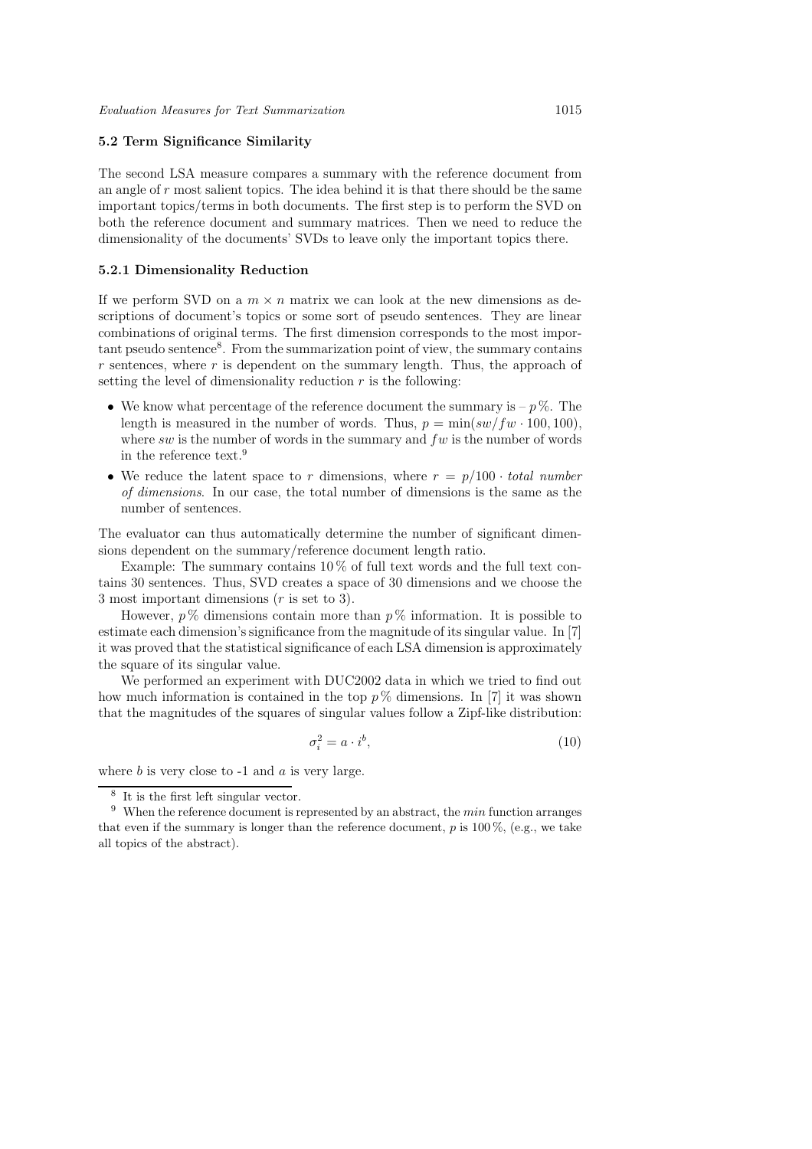# 5.2 Term Significance Similarity

The second LSA measure compares a summary with the reference document from an angle of r most salient topics. The idea behind it is that there should be the same important topics/terms in both documents. The first step is to perform the SVD on both the reference document and summary matrices. Then we need to reduce the dimensionality of the documents' SVDs to leave only the important topics there.

#### 5.2.1 Dimensionality Reduction

If we perform SVD on a  $m \times n$  matrix we can look at the new dimensions as descriptions of document's topics or some sort of pseudo sentences. They are linear combinations of original terms. The first dimension corresponds to the most important pseudo sentence<sup>8</sup>. From the summarization point of view, the summary contains  $r$  sentences, where  $r$  is dependent on the summary length. Thus, the approach of setting the level of dimensionality reduction  $r$  is the following:

- We know what percentage of the reference document the summary is  $p\%$ . The length is measured in the number of words. Thus,  $p = \min(sw/fw \cdot 100, 100)$ , where sw is the number of words in the summary and  $fw$  is the number of words in the reference text.<sup>9</sup>
- We reduce the latent space to r dimensions, where  $r = p/100 \cdot total \ number$ of dimensions. In our case, the total number of dimensions is the same as the number of sentences.

The evaluator can thus automatically determine the number of significant dimensions dependent on the summary/reference document length ratio.

Example: The summary contains  $10\%$  of full text words and the full text contains 30 sentences. Thus, SVD creates a space of 30 dimensions and we choose the 3 most important dimensions (r is set to 3).

However,  $p\%$  dimensions contain more than  $p\%$  information. It is possible to estimate each dimension's significance from the magnitude of its singular value. In [7] it was proved that the statistical significance of each LSA dimension is approximately the square of its singular value.

We performed an experiment with DUC2002 data in which we tried to find out how much information is contained in the top  $p\%$  dimensions. In [7] it was shown that the magnitudes of the squares of singular values follow a Zipf-like distribution:

$$
\sigma_i^2 = a \cdot i^b,\tag{10}
$$

where  $b$  is very close to  $-1$  and  $a$  is very large.

<sup>8</sup> It is the first left singular vector.

 $9$  When the reference document is represented by an abstract, the *min* function arranges that even if the summary is longer than the reference document,  $p$  is 100 %, (e.g., we take all topics of the abstract).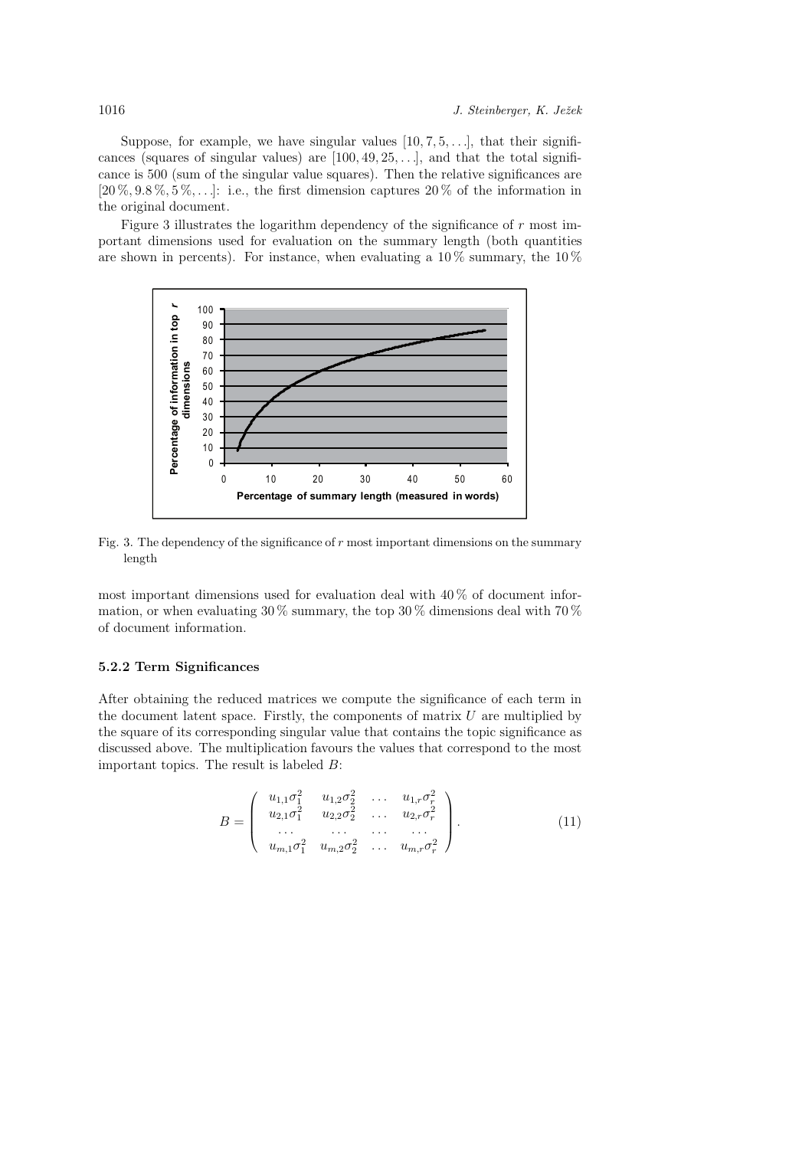Suppose, for example, we have singular values  $[10, 7, 5, \ldots]$ , that their significances (squares of singular values) are  $[100, 49, 25, \ldots]$ , and that the total significance is 500 (sum of the singular value squares). Then the relative significances are  $[20\%, 9.8\%, 5\%, \ldots]$ : i.e., the first dimension captures  $20\%$  of the information in the original document.

Figure 3 illustrates the logarithm dependency of the significance of  $r$  most important dimensions used for evaluation on the summary length (both quantities are shown in percents). For instance, when evaluating a  $10\%$  summary, the  $10\%$ 



Fig. 3. The dependency of the significance of  $r$  most important dimensions on the summary length

most important dimensions used for evaluation deal with 40 % of document information, or when evaluating  $30\%$  summary, the top  $30\%$  dimensions deal with  $70\%$ of document information.

# 5.2.2 Term Significances

After obtaining the reduced matrices we compute the significance of each term in the document latent space. Firstly, the components of matrix  $U$  are multiplied by the square of its corresponding singular value that contains the topic significance as discussed above. The multiplication favours the values that correspond to the most important topics. The result is labeled B:

$$
B = \begin{pmatrix} u_{1,1}\sigma_1^2 & u_{1,2}\sigma_2^2 & \dots & u_{1,r}\sigma_r^2 \\ u_{2,1}\sigma_1^2 & u_{2,2}\sigma_2^2 & \dots & u_{2,r}\sigma_r^2 \\ \dots & \dots & \dots & \dots \\ u_{m,1}\sigma_1^2 & u_{m,2}\sigma_2^2 & \dots & u_{m,r}\sigma_r^2 \end{pmatrix} .
$$
 (11)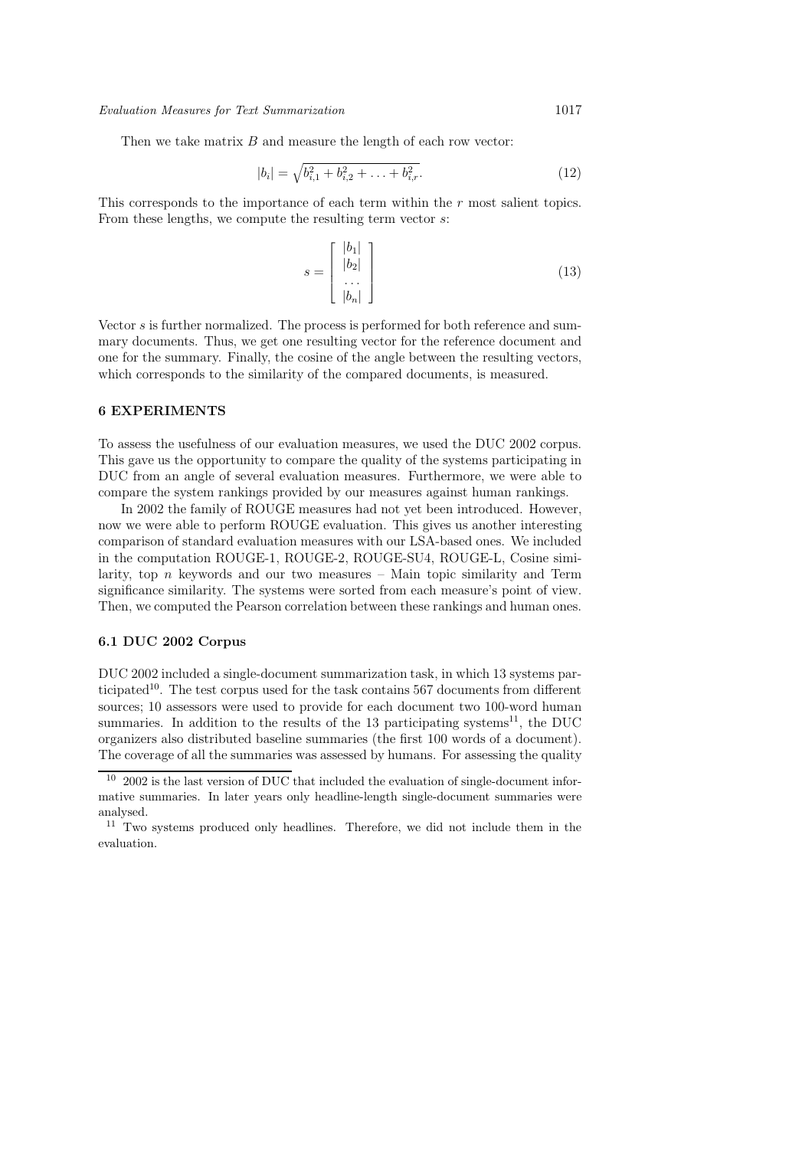Then we take matrix  $B$  and measure the length of each row vector:

$$
|b_i| = \sqrt{b_{i,1}^2 + b_{i,2}^2 + \ldots + b_{i,r}^2}.
$$
 (12)

This corresponds to the importance of each term within the r most salient topics. From these lengths, we compute the resulting term vector s:

$$
s = \begin{bmatrix} |b_1| \\ |b_2| \\ \vdots \\ |b_n| \end{bmatrix}
$$
 (13)

Vector s is further normalized. The process is performed for both reference and summary documents. Thus, we get one resulting vector for the reference document and one for the summary. Finally, the cosine of the angle between the resulting vectors, which corresponds to the similarity of the compared documents, is measured.

# 6 EXPERIMENTS

To assess the usefulness of our evaluation measures, we used the DUC 2002 corpus. This gave us the opportunity to compare the quality of the systems participating in DUC from an angle of several evaluation measures. Furthermore, we were able to compare the system rankings provided by our measures against human rankings.

In 2002 the family of ROUGE measures had not yet been introduced. However, now we were able to perform ROUGE evaluation. This gives us another interesting comparison of standard evaluation measures with our LSA-based ones. We included in the computation ROUGE-1, ROUGE-2, ROUGE-SU4, ROUGE-L, Cosine similarity, top  $n$  keywords and our two measures – Main topic similarity and Term significance similarity. The systems were sorted from each measure's point of view. Then, we computed the Pearson correlation between these rankings and human ones.

### 6.1 DUC 2002 Corpus

DUC 2002 included a single-document summarization task, in which 13 systems participated<sup>10</sup>. The test corpus used for the task contains 567 documents from different sources; 10 assessors were used to provide for each document two 100-word human summaries. In addition to the results of the 13 participating systems<sup>11</sup>, the DUC organizers also distributed baseline summaries (the first 100 words of a document). The coverage of all the summaries was assessed by humans. For assessing the quality

<sup>10</sup> 2002 is the last version of DUC that included the evaluation of single-document informative summaries. In later years only headline-length single-document summaries were analysed.

 $11$  Two systems produced only headlines. Therefore, we did not include them in the evaluation.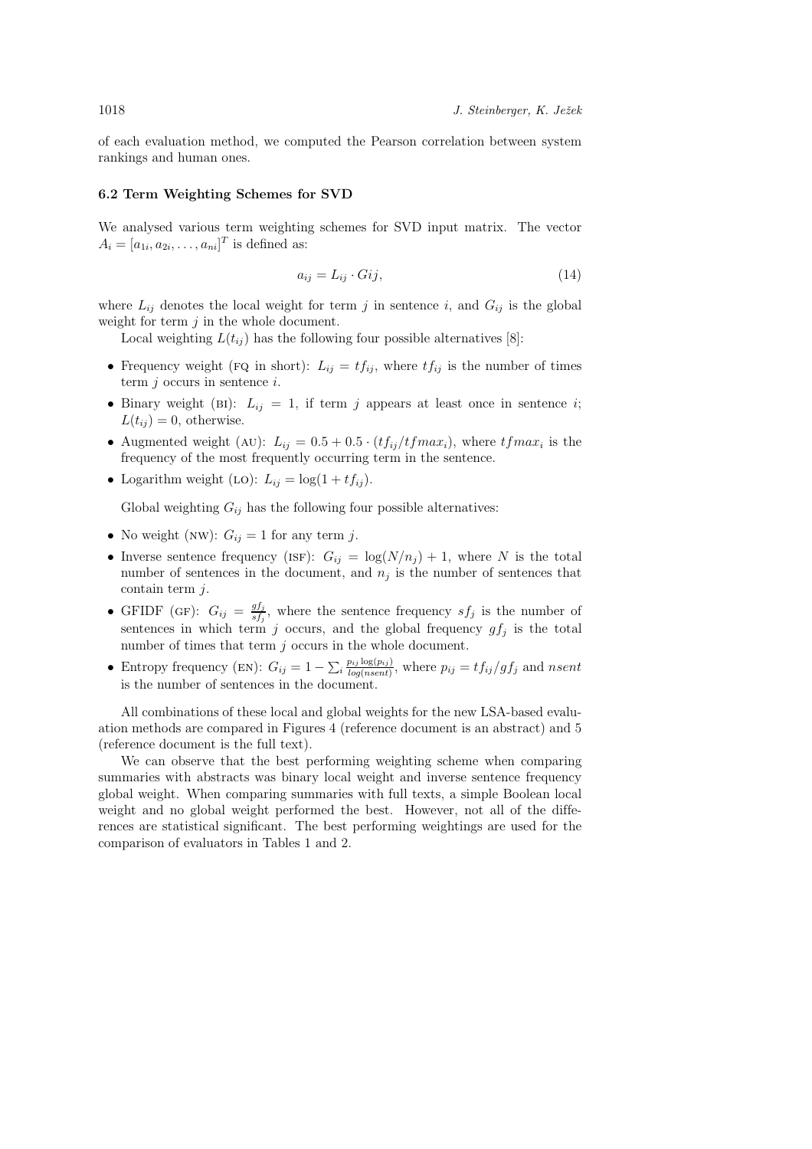of each evaluation method, we computed the Pearson correlation between system rankings and human ones.

#### 6.2 Term Weighting Schemes for SVD

We analysed various term weighting schemes for SVD input matrix. The vector  $A_i = [a_{1i}, a_{2i}, \dots, a_{ni}]^T$  is defined as:

$$
a_{ij} = L_{ij} \cdot Gij,\tag{14}
$$

where  $L_{ij}$  denotes the local weight for term j in sentence i, and  $G_{ij}$  is the global weight for term  $j$  in the whole document.

Local weighting  $L(t_{ij})$  has the following four possible alternatives [8]:

- Frequency weight (FQ in short):  $L_{ij} = tf_{ij}$ , where  $tf_{ij}$  is the number of times term  $j$  occurs in sentence  $i$ .
- Binary weight (BI):  $L_{ij} = 1$ , if term j appears at least once in sentence i;  $L(t_{ij}) = 0$ , otherwise.
- Augmented weight (AU):  $L_{ij} = 0.5 + 0.5 \cdot (tf_{ij}/tfmax_i)$ , where  $tfmax_i$  is the frequency of the most frequently occurring term in the sentence.
- Logarithm weight (LO):  $L_{ij} = \log(1 + tf_{ij}).$

Global weighting  $G_{ij}$  has the following four possible alternatives:

- No weight (NW):  $G_{ij} = 1$  for any term j.
- Inverse sentence frequency (ISF):  $G_{ij} = \log(N/n_j) + 1$ , where N is the total number of sentences in the document, and  $n_j$  is the number of sentences that contain term j.
- GFIDF (GF):  $G_{ij} = \frac{gf_j}{st_i}$  $\frac{g_{J_j}}{s_{f_j}}$ , where the sentence frequency  $s f_j$  is the number of sentences in which term j occurs, and the global frequency  $gf_j$  is the total number of times that term  $j$  occurs in the whole document.
- Entropy frequency (EN):  $G_{ij} = 1 \sum_i \frac{p_{ij} \log(p_{ij})}{log(nsent)}$ , where  $p_{ij} = tf_{ij}/gf_j$  and nsent is the number of sentences in the document.

All combinations of these local and global weights for the new LSA-based evaluation methods are compared in Figures 4 (reference document is an abstract) and 5 (reference document is the full text).

We can observe that the best performing weighting scheme when comparing summaries with abstracts was binary local weight and inverse sentence frequency global weight. When comparing summaries with full texts, a simple Boolean local weight and no global weight performed the best. However, not all of the differences are statistical significant. The best performing weightings are used for the comparison of evaluators in Tables 1 and 2.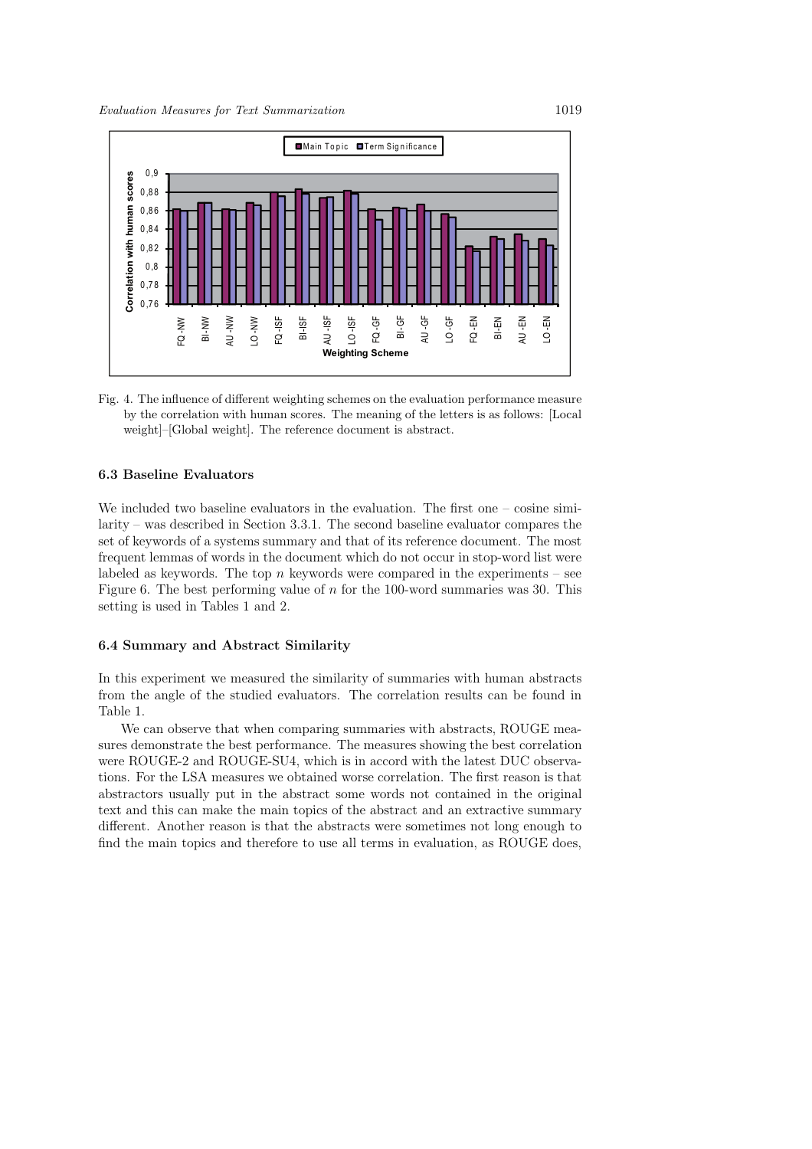

Fig. 4. The influence of different weighting schemes on the evaluation performance measure by the correlation with human scores. The meaning of the letters is as follows: [Local weight]–[Global weight]. The reference document is abstract.

# 6.3 Baseline Evaluators

We included two baseline evaluators in the evaluation. The first one – cosine similarity – was described in Section 3.3.1. The second baseline evaluator compares the set of keywords of a systems summary and that of its reference document. The most frequent lemmas of words in the document which do not occur in stop-word list were labeled as keywords. The top  $n$  keywords were compared in the experiments – see Figure 6. The best performing value of  $n$  for the 100-word summaries was 30. This setting is used in Tables 1 and 2.

#### 6.4 Summary and Abstract Similarity

In this experiment we measured the similarity of summaries with human abstracts from the angle of the studied evaluators. The correlation results can be found in Table 1.

We can observe that when comparing summaries with abstracts, ROUGE measures demonstrate the best performance. The measures showing the best correlation were ROUGE-2 and ROUGE-SU4, which is in accord with the latest DUC observations. For the LSA measures we obtained worse correlation. The first reason is that abstractors usually put in the abstract some words not contained in the original text and this can make the main topics of the abstract and an extractive summary different. Another reason is that the abstracts were sometimes not long enough to find the main topics and therefore to use all terms in evaluation, as ROUGE does,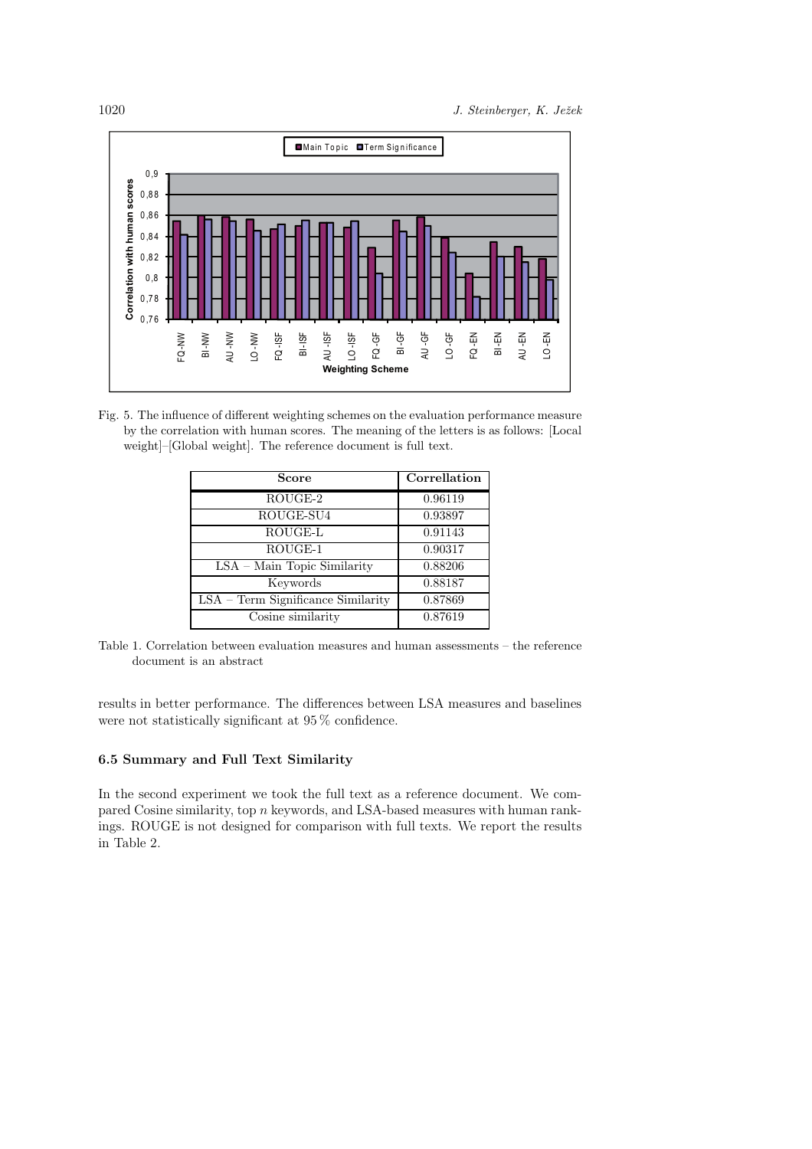

Fig. 5. The influence of different weighting schemes on the evaluation performance measure by the correlation with human scores. The meaning of the letters is as follows: [Local weight]–[Global weight]. The reference document is full text.

| <b>Score</b>                         | Correllation |
|--------------------------------------|--------------|
| $\overline{\text{ROUGE}}$ -2         | 0.96119      |
| ROUGE-SU4                            | 0.93897      |
| ROUGE-L                              | 0.91143      |
| ROUGE-1                              | 0.90317      |
| $LSA - Main Topic Similarity$        | 0.88206      |
| Keywords                             | 0.88187      |
| $LSA - Term$ Significance Similarity | 0.87869      |
| Cosine similarity                    | 0.87619      |

Table 1. Correlation between evaluation measures and human assessments – the reference document is an abstract

results in better performance. The differences between LSA measures and baselines were not statistically significant at 95 % confidence.

# 6.5 Summary and Full Text Similarity

In the second experiment we took the full text as a reference document. We compared Cosine similarity, top n keywords, and LSA-based measures with human rankings. ROUGE is not designed for comparison with full texts. We report the results in Table 2.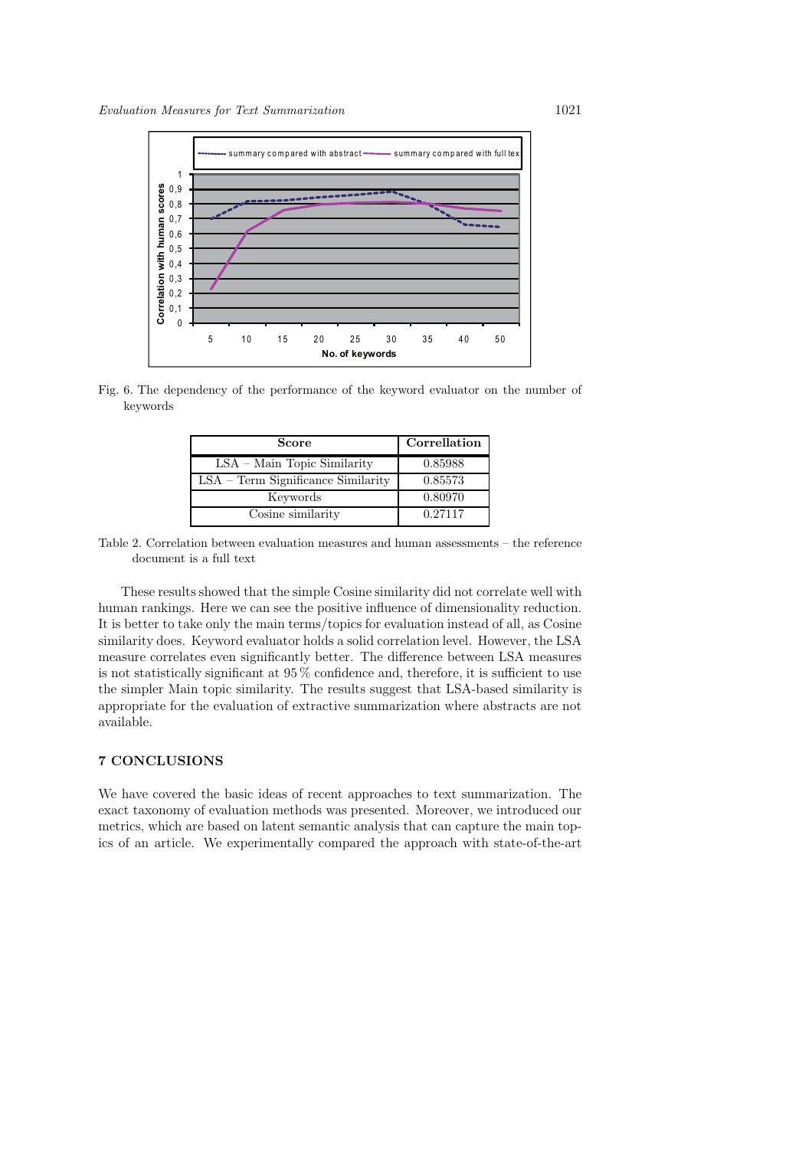

Fig. 6. The dependency of the performance of the keyword evaluator on the number of keywords

| Score                                | Correllation |
|--------------------------------------|--------------|
| $LSA - Main Topic Similarity$        | 0.85988      |
| $LSA - Term$ Significance Similarity | 0.85573      |
| Keywords                             | 0.80970      |
| Cosine similarity                    | 0.27117      |

Table 2. Correlation between evaluation measures and human assessments – the reference document is a full text

These results showed that the simple Cosine similarity did not correlate well with human rankings. Here we can see the positive influence of dimensionality reduction. It is better to take only the main terms/topics for evaluation instead of all, as Cosine similarity does. Keyword evaluator holds a solid correlation level. However, the LSA measure correlates even significantly better. The difference between LSA measures is not statistically significant at 95 % confidence and, therefore, it is sufficient to use the simpler Main topic similarity. The results suggest that LSA-based similarity is appropriate for the evaluation of extractive summarization where abstracts are not available.

# 7 CONCLUSIONS

We have covered the basic ideas of recent approaches to text summarization. The exact taxonomy of evaluation methods was presented. Moreover, we introduced our metrics, which are based on latent semantic analysis that can capture the main topics of an article. We experimentally compared the approach with state-of-the-art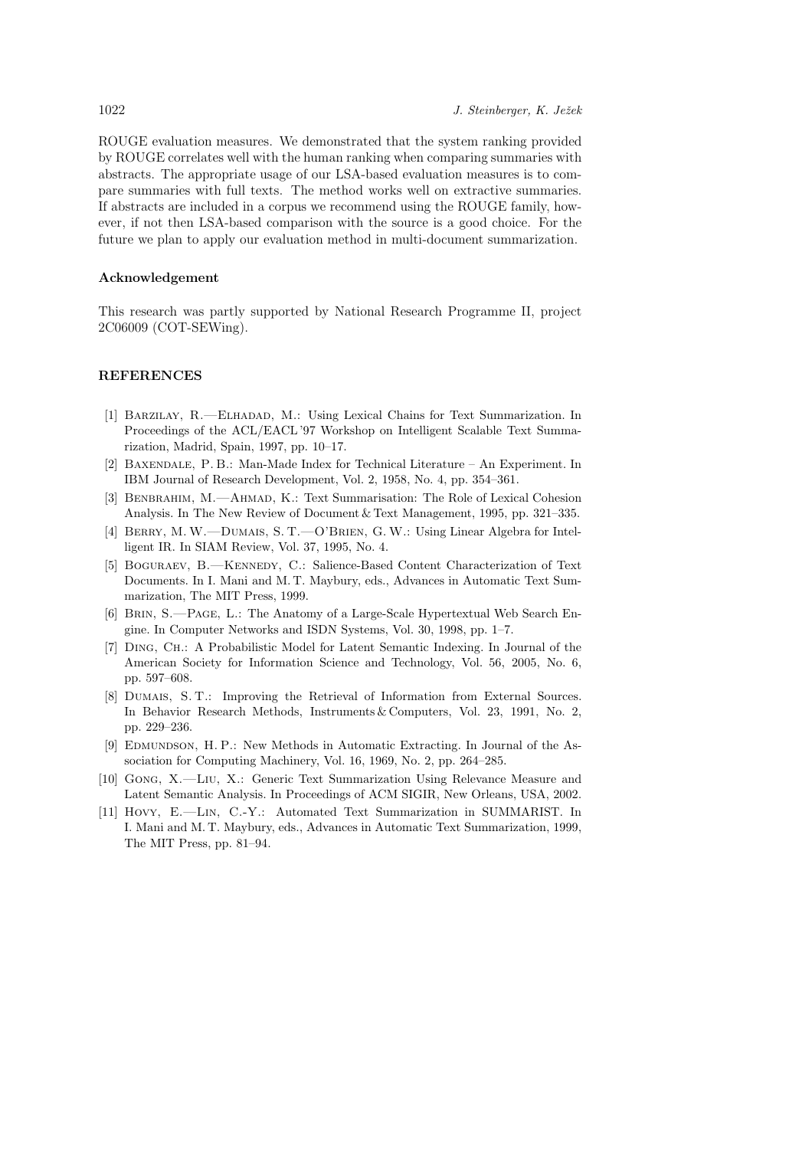ROUGE evaluation measures. We demonstrated that the system ranking provided by ROUGE correlates well with the human ranking when comparing summaries with abstracts. The appropriate usage of our LSA-based evaluation measures is to compare summaries with full texts. The method works well on extractive summaries. If abstracts are included in a corpus we recommend using the ROUGE family, however, if not then LSA-based comparison with the source is a good choice. For the future we plan to apply our evaluation method in multi-document summarization.

# Acknowledgement

This research was partly supported by National Research Programme II, project 2C06009 (COT-SEWing).

#### REFERENCES

- [1] Barzilay, R.—Elhadad, M.: Using Lexical Chains for Text Summarization. In Proceedings of the ACL/EACL '97 Workshop on Intelligent Scalable Text Summarization, Madrid, Spain, 1997, pp. 10–17.
- [2] Baxendale, P. B.: Man-Made Index for Technical Literature An Experiment. In IBM Journal of Research Development, Vol. 2, 1958, No. 4, pp. 354–361.
- [3] Benbrahim, M.—Ahmad, K.: Text Summarisation: The Role of Lexical Cohesion Analysis. In The New Review of Document & Text Management, 1995, pp. 321–335.
- [4] Berry, M.W.—Dumais, S. T.—O'Brien, G.W.: Using Linear Algebra for Intelligent IR. In SIAM Review, Vol. 37, 1995, No. 4.
- [5] BOGURAEV, B.-KENNEDY, C.: Salience-Based Content Characterization of Text Documents. In I. Mani and M. T. Maybury, eds., Advances in Automatic Text Summarization, The MIT Press, 1999.
- [6] Brin, S.—Page, L.: The Anatomy of a Large-Scale Hypertextual Web Search Engine. In Computer Networks and ISDN Systems, Vol. 30, 1998, pp. 1–7.
- [7] Ding, Ch.: A Probabilistic Model for Latent Semantic Indexing. In Journal of the American Society for Information Science and Technology, Vol. 56, 2005, No. 6, pp. 597–608.
- [8] Dumais, S. T.: Improving the Retrieval of Information from External Sources. In Behavior Research Methods, Instruments & Computers, Vol. 23, 1991, No. 2, pp. 229–236.
- [9] EDMUNDSON, H. P.: New Methods in Automatic Extracting. In Journal of the Association for Computing Machinery, Vol. 16, 1969, No. 2, pp. 264–285.
- [10] Gong, X.—Liu, X.: Generic Text Summarization Using Relevance Measure and Latent Semantic Analysis. In Proceedings of ACM SIGIR, New Orleans, USA, 2002.
- [11] Hovy, E.—Lin, C.-Y.: Automated Text Summarization in SUMMARIST. In I. Mani and M. T. Maybury, eds., Advances in Automatic Text Summarization, 1999, The MIT Press, pp. 81–94.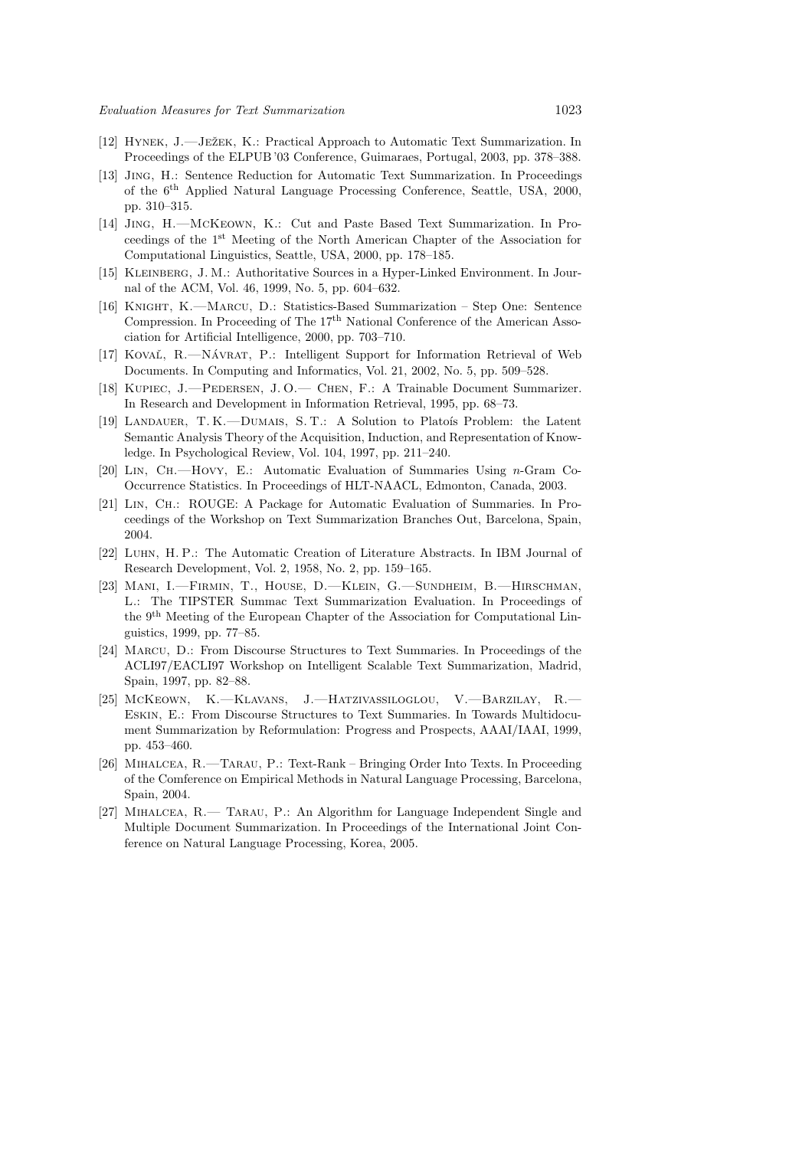- [12] HYNEK, J.—JEŽEK, K.: Practical Approach to Automatic Text Summarization. In Proceedings of the ELPUB '03 Conference, Guimaraes, Portugal, 2003, pp. 378–388.
- [13] Jing, H.: Sentence Reduction for Automatic Text Summarization. In Proceedings of the 6th Applied Natural Language Processing Conference, Seattle, USA, 2000, pp. 310–315.
- [14] Jing, H.—McKeown, K.: Cut and Paste Based Text Summarization. In Proceedings of the 1st Meeting of the North American Chapter of the Association for Computational Linguistics, Seattle, USA, 2000, pp. 178–185.
- [15] Kleinberg, J. M.: Authoritative Sources in a Hyper-Linked Environment. In Journal of the ACM, Vol. 46, 1999, No. 5, pp. 604–632.
- [16] Knight, K.—Marcu, D.: Statistics-Based Summarization Step One: Sentence Compression. In Proceeding of The 17<sup>th</sup> National Conference of the American Association for Artificial Intelligence, 2000, pp. 703–710.
- [17] KOVAĽ, R.—NÁVRAT, P.: Intelligent Support for Information Retrieval of Web Documents. In Computing and Informatics, Vol. 21, 2002, No. 5, pp. 509–528.
- [18] Kupiec, J.—Pedersen, J. O.— Chen, F.: A Trainable Document Summarizer. In Research and Development in Information Retrieval, 1995, pp. 68–73.
- [19] LANDAUER, T. K.—DUMAIS, S. T.: A Solution to Platois Problem: the Latent Semantic Analysis Theory of the Acquisition, Induction, and Representation of Knowledge. In Psychological Review, Vol. 104, 1997, pp. 211–240.
- [20] Lin, Ch.—Hovy, E.: Automatic Evaluation of Summaries Using n-Gram Co-Occurrence Statistics. In Proceedings of HLT-NAACL, Edmonton, Canada, 2003.
- [21] Lin, Ch.: ROUGE: A Package for Automatic Evaluation of Summaries. In Proceedings of the Workshop on Text Summarization Branches Out, Barcelona, Spain, 2004.
- [22] Luhn, H. P.: The Automatic Creation of Literature Abstracts. In IBM Journal of Research Development, Vol. 2, 1958, No. 2, pp. 159–165.
- [23] Mani, I.—Firmin, T., House, D.—Klein, G.—Sundheim, B.—Hirschman, L.: The TIPSTER Summac Text Summarization Evaluation. In Proceedings of the 9th Meeting of the European Chapter of the Association for Computational Linguistics, 1999, pp. 77–85.
- [24] Marcu, D.: From Discourse Structures to Text Summaries. In Proceedings of the ACLI97/EACLI97 Workshop on Intelligent Scalable Text Summarization, Madrid, Spain, 1997, pp. 82–88.
- [25] McKeown, K.—Klavans, J.—Hatzivassiloglou, V.—Barzilay, R.— Eskin, E.: From Discourse Structures to Text Summaries. In Towards Multidocument Summarization by Reformulation: Progress and Prospects, AAAI/IAAI, 1999, pp. 453–460.
- [26] Mihalcea, R.—Tarau, P.: Text-Rank Bringing Order Into Texts. In Proceeding of the Comference on Empirical Methods in Natural Language Processing, Barcelona, Spain, 2004.
- [27] Mihalcea, R.— Tarau, P.: An Algorithm for Language Independent Single and Multiple Document Summarization. In Proceedings of the International Joint Conference on Natural Language Processing, Korea, 2005.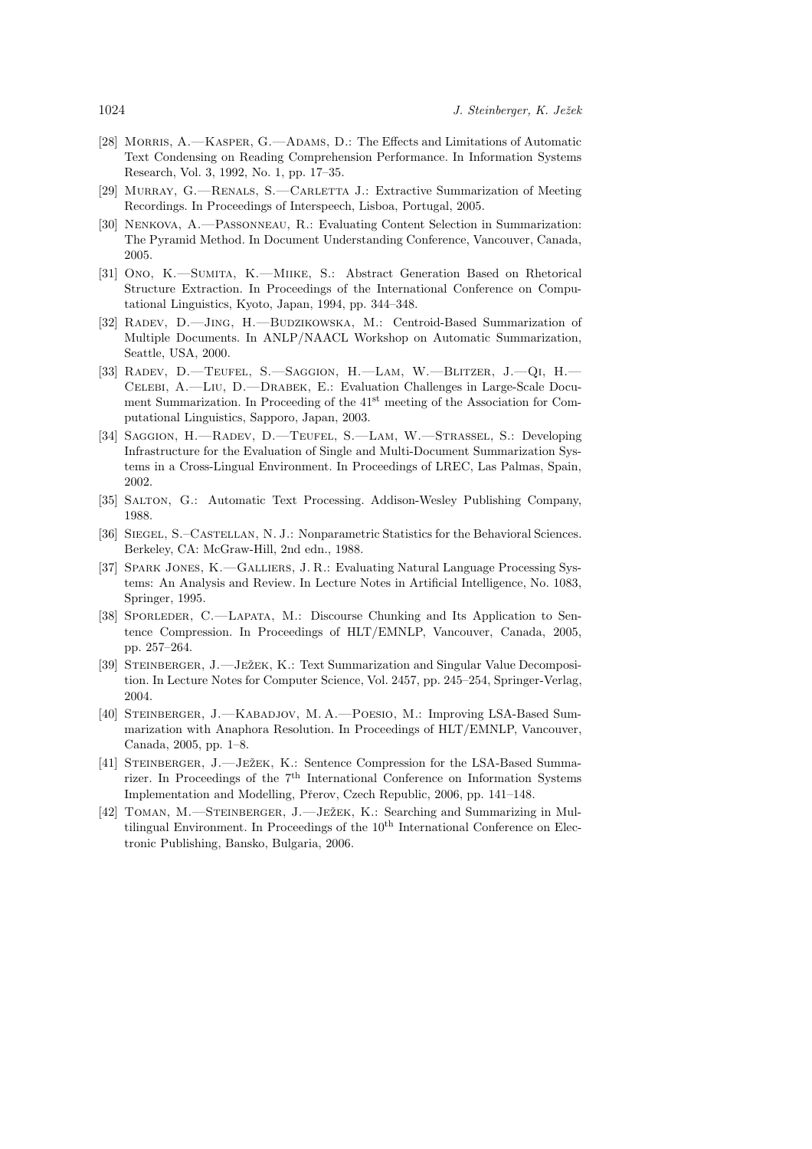- [28] Morris, A.—Kasper, G.—Adams, D.: The Effects and Limitations of Automatic Text Condensing on Reading Comprehension Performance. In Information Systems Research, Vol. 3, 1992, No. 1, pp. 17–35.
- [29] Murray, G.—Renals, S.—Carletta J.: Extractive Summarization of Meeting Recordings. In Proceedings of Interspeech, Lisboa, Portugal, 2005.
- [30] Nenkova, A.—Passonneau, R.: Evaluating Content Selection in Summarization: The Pyramid Method. In Document Understanding Conference, Vancouver, Canada, 2005.
- [31] Ono, K.—Sumita, K.—Miike, S.: Abstract Generation Based on Rhetorical Structure Extraction. In Proceedings of the International Conference on Computational Linguistics, Kyoto, Japan, 1994, pp. 344–348.
- [32] RADEV, D.-JING, H.-BUDZIKOWSKA, M.: Centroid-Based Summarization of Multiple Documents. In ANLP/NAACL Workshop on Automatic Summarization, Seattle, USA, 2000.
- [33] Radev, D.—Teufel, S.—Saggion, H.—Lam, W.—Blitzer, J.—Qi, H.— Celebi, A.—Liu, D.—Drabek, E.: Evaluation Challenges in Large-Scale Document Summarization. In Proceeding of the 41<sup>st</sup> meeting of the Association for Computational Linguistics, Sapporo, Japan, 2003.
- [34] Saggion, H.—Radev, D.—Teufel, S.—Lam, W.—Strassel, S.: Developing Infrastructure for the Evaluation of Single and Multi-Document Summarization Systems in a Cross-Lingual Environment. In Proceedings of LREC, Las Palmas, Spain, 2002.
- [35] Salton, G.: Automatic Text Processing. Addison-Wesley Publishing Company, 1988.
- [36] Siegel, S.–Castellan, N. J.: Nonparametric Statistics for the Behavioral Sciences. Berkeley, CA: McGraw-Hill, 2nd edn., 1988.
- [37] SPARK JONES, K.-GALLIERS, J. R.: Evaluating Natural Language Processing Systems: An Analysis and Review. In Lecture Notes in Artificial Intelligence, No. 1083, Springer, 1995.
- [38] Sporleder, C.—Lapata, M.: Discourse Chunking and Its Application to Sentence Compression. In Proceedings of HLT/EMNLP, Vancouver, Canada, 2005, pp. 257–264.
- [39] STEINBERGER, J.—JEŽEK, K.: Text Summarization and Singular Value Decomposition. In Lecture Notes for Computer Science, Vol. 2457, pp. 245–254, Springer-Verlag, 2004.
- [40] Steinberger, J.—Kabadjov, M. A.—Poesio, M.: Improving LSA-Based Summarization with Anaphora Resolution. In Proceedings of HLT/EMNLP, Vancouver, Canada, 2005, pp. 1–8.
- [41] STEINBERGER, J.—JEŽEK, K.: Sentence Compression for the LSA-Based Summarizer. In Proceedings of the  $7<sup>th</sup>$  International Conference on Information Systems Implementation and Modelling, Přerov, Czech Republic, 2006, pp. 141-148.
- [42] TOMAN, M.—STEINBERGER, J.—JEŽEK, K.: Searching and Summarizing in Multilingual Environment. In Proceedings of the  $10<sup>th</sup>$  International Conference on Electronic Publishing, Bansko, Bulgaria, 2006.